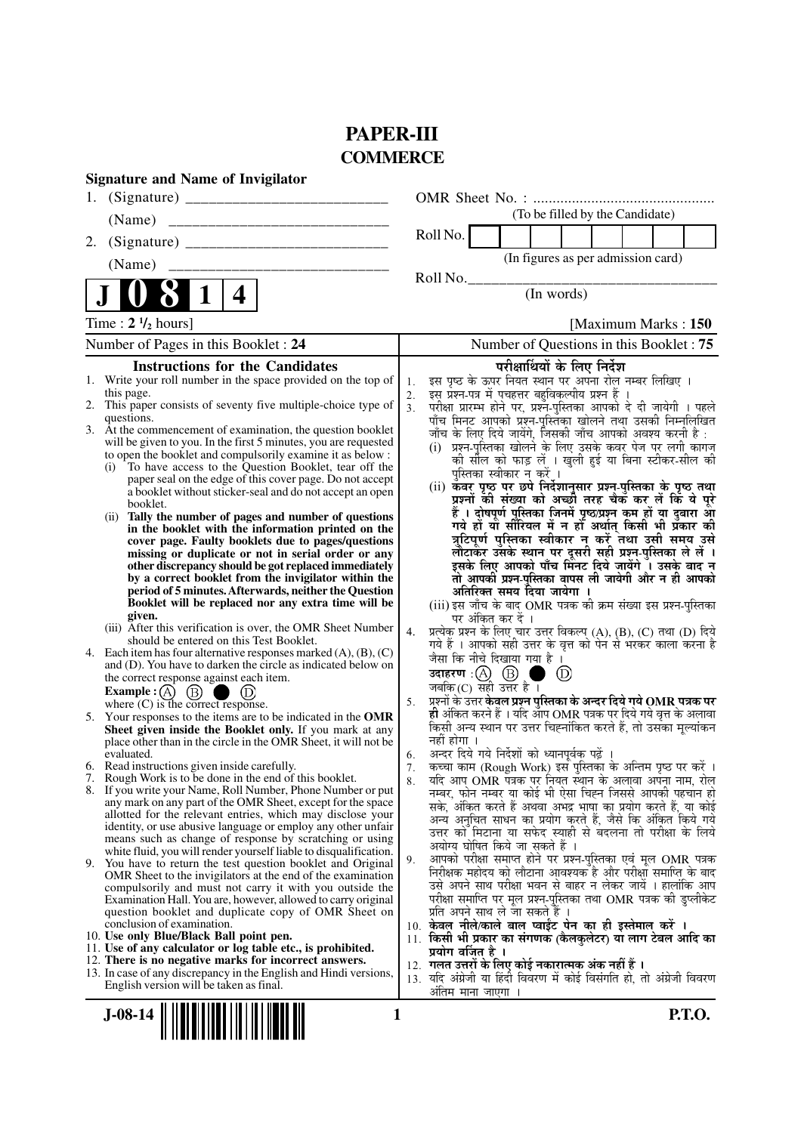# **PAPER-III COMMERCE**

| <b>Signature and Name of Invigilator</b>                                                                                                   |                                                                                                                                           |
|--------------------------------------------------------------------------------------------------------------------------------------------|-------------------------------------------------------------------------------------------------------------------------------------------|
|                                                                                                                                            |                                                                                                                                           |
| (Name)<br>__________________________________                                                                                               | (To be filled by the Candidate)                                                                                                           |
| 2.                                                                                                                                         | Roll No.                                                                                                                                  |
| (Name)                                                                                                                                     | (In figures as per admission card)                                                                                                        |
| 4<br>1                                                                                                                                     | Roll No.<br>(In words)                                                                                                                    |
| Time : $2 \frac{1}{2}$ hours]                                                                                                              | [Maximum Marks: 150                                                                                                                       |
| Number of Pages in this Booklet: 24                                                                                                        | Number of Questions in this Booklet: 75                                                                                                   |
| <b>Instructions for the Candidates</b>                                                                                                     | परीक्षार्थियों के लिए निर्देश                                                                                                             |
| 1. Write your roll number in the space provided on the top of                                                                              | इस पृष्ठ के ऊपर नियत स्थान पर अपना रोल नम्बर लिखिए ।<br>1.                                                                                |
| this page.                                                                                                                                 | इस् प्रश्न-पत्र में पुचहत्तर बहुविकल्पीय प्रश्न हैं ।<br>2.                                                                               |
| 2. This paper consists of seventy five multiple-choice type of<br>questions.                                                               | परीक्षा प्रारम्भ होने पर, प्रश्नॅं-पुस्तिका आपको दे दी जायेगी । पहले<br>पाँच मिनट आपको प्रश्न-पुस्तिका खोलने तथा उसकी निम्नलिखित<br>3.    |
| 3. At the commencement of examination, the question booklet                                                                                | जाँच के लिए दिये जायेंगे, जिसकी जाँच आपको अवश्य करनी है :                                                                                 |
| will be given to you. In the first 5 minutes, you are requested                                                                            | (i) प्रश्न-पुस्तिका खोलने के लिए उसके कवर पेज पर लगी कागज                                                                                 |
| to open the booklet and compulsorily examine it as below :<br>To have access to the Question Booklet, tear off the<br>(i)                  | की सील को फाड़ लें । खुली हुई या बिना स्टीकर-सील की                                                                                       |
| paper seal on the edge of this cover page. Do not accept                                                                                   | पुस्तिका स्वीकार न करें ।                                                                                                                 |
| a booklet without sticker-seal and do not accept an open<br>booklet.                                                                       | (ii) कॅवर पृष्ठ पर छपे निर्देशानुसार प्रश्न-पुस्तिका के पृष्ठ तथा<br>प्रश्नों की संख्या को अच्छी तरह चैक कर लें कि ये पूरे                |
| Tally the number of pages and number of questions<br>(ii)                                                                                  | हैं । दोषपूर्ण पुस्तिका जिनमें पृष्ठ/प्रश्न कम हों या दुबारा आ<br>गये हों या सीरियल में न हो अर्थात् किसी भी प्रकार की                    |
| in the booklet with the information printed on the                                                                                         | त्रुटिपूर्ण पुस्तिका स्वीकार न करें तथा उसी समय उसे                                                                                       |
| cover page. Faulty booklets due to pages/questions<br>missing or duplicate or not in serial order or any                                   | लौटाकर उसके स्थान पर दूसरी सही प्रश्न-पुस्तिका ले लें ।                                                                                   |
| other discrepancy should be got replaced immediately                                                                                       | इसके लिए आपको पाँच मिंनट दिये जायेंगे ँ। उसके बाद न                                                                                       |
| by a correct booklet from the invigilator within the<br>period of 5 minutes. Afterwards, neither the Question                              | तो आपकी प्रश्न-पुस्तिका वापस ली जायेगी और न ही आपको                                                                                       |
| Booklet will be replaced nor any extra time will be                                                                                        | अतिरिक्त समय दिया जायेगा ।<br>(iii) इस जाँच के बाद OMR पत्रक की क्रम संख्या इस प्रश्न-पुस्तिका                                            |
| given.                                                                                                                                     | पर अंकित कर दें ।                                                                                                                         |
| (iii) After this verification is over, the OMR Sheet Number<br>should be entered on this Test Booklet.                                     | प्रत्येक प्रश्न के लिए चार उत्तर विकल्प (A), (B), (C) तथा (D) दिये<br>4.                                                                  |
| 4. Each item has four alternative responses marked $(A)$ , $(B)$ , $(C)$                                                                   | गये हैं । आपको सही उत्तर के वृत्त को पेन से भरकर काला करना है<br>जैसा कि नीचे दिखाया गया है ।                                             |
| and (D). You have to darken the circle as indicated below on<br>the correct response against each item.                                    | उदाहरण: $\textcircled{A}$ $\textcircled{B}$ ।<br>$^{\circ}$<br>a s                                                                        |
| <b>Example :</b> $\overrightarrow{A}$ $\overrightarrow{B}$ $\overrightarrow{D}$ $\overrightarrow{D}$<br>where (C) is the correct response. | जबकि $(C)$ सही उत्तर है ।                                                                                                                 |
|                                                                                                                                            | प्रश्नों के उत्तर केवल प्रश्न पुस्तिका के अन्दर दिये गये OMR पत्रक पर<br>5.                                                               |
| 5. Your responses to the items are to be indicated in the OMR<br>Sheet given inside the Booklet only. If you mark at any                   | <b>ही</b> अंकित करने हैं । यदि आप OMR पत्रक पर दिये गये वृत्त के अलावा<br>किसी अन्य स्थान पर उत्तर चिह्नांकित करते हैं, तो उसका मूल्यांकन |
| place other than in the circle in the OMR Sheet, it will not be                                                                            | नहीं होगा ।                                                                                                                               |
| evaluated.<br>6. Read instructions given inside carefully.                                                                                 | अन्दर दिये गये निर्देशों को ध्यानपूर्वक पढ़ें ।<br>6.<br>कच्चा काम (Rough Work) इस पुस्तिका के अन्तिम पृष्ठ पर करें ।                     |
| 7. Rough Work is to be done in the end of this booklet.                                                                                    | 7.<br>यदि आप OMR पत्रक पर नियत स्थान के अलावा अपना नाम, रोल<br>8.                                                                         |
| 8. If you write your Name, Roll Number, Phone Number or put                                                                                | नम्बर, फोन नम्बर या कोई भी ऐसा चिह्न जिससे आपकी पहचान हो                                                                                  |
| any mark on any part of the OMR Sheet, except for the space<br>allotted for the relevant entries, which may disclose your                  | सके, अंकित करते हैं अथवा अभद्र भाषा का प्रयोग करते हैं, या कोई                                                                            |
| identity, or use abusive language or employ any other unfair                                                                               | अन्य अनुचित साधन का प्रयोग करते हैं, जैसे कि अंकित किये गये<br>उत्तर को मिटाना या सफेद स्याही से बदलना तो परीक्षा के लिये                 |
| means such as change of response by scratching or using<br>white fluid, you will render yourself liable to disqualification.               | अयोग्य घोषित किये जा सकते हैं ।                                                                                                           |
| 9. You have to return the test question booklet and Original                                                                               | आपको परीक्षा समाप्त होने पर प्रश्न-पुस्तिका एवं मूल OMR पत्रक<br>9.                                                                       |
| OMR Sheet to the invigilators at the end of the examination                                                                                | निरीक्षक महोदय को लौटाना आवश्यक है और परीक्षा समाप्ति के बाद<br>उसे अपने साथ परीक्षा भवन से बाहर न लेकर जायें । हालांकि आप                |
| compulsorily and must not carry it with you outside the<br>Examination Hall. You are, however, allowed to carry original                   | परीक्षा समाप्ति पर मूल प्रश्न-पुस्तिका तथा OMR पत्रक की डुप्लीकेट                                                                         |
| question booklet and duplicate copy of OMR Sheet on                                                                                        | प्रति अपने साथ ले जा सकते हैं ।                                                                                                           |
| conclusion of examination.<br>10. Use only Blue/Black Ball point pen.                                                                      | 10. केवल नीले/काले बाल प्वाईंट पेन का ही इस्तेमाल करें ।<br>11. किसी भी प्रकार का संगणक (कैलकुलेटर) या लाग टेबल आदि का                    |
| 11. Use of any calculator or log table etc., is prohibited.                                                                                | प्रयोग वर्जित है ।                                                                                                                        |
| 12. There is no negative marks for incorrect answers.                                                                                      | 12. गलत उत्तरों के लिए कोई नकारात्मक अंक नहीं हैं ।                                                                                       |
| 13. In case of any discrepancy in the English and Hindi versions,<br>English version will be taken as final.                               | 13. यदि अंग्रेजी या हिंदी विवरण में कोई विसंगति हो, तो अंग्रेजी विवरण                                                                     |
|                                                                                                                                            | अंतिम माना जाएगा                                                                                                                          |
| $J-08-14$                                                                                                                                  | P.T.O.<br>1                                                                                                                               |
|                                                                                                                                            |                                                                                                                                           |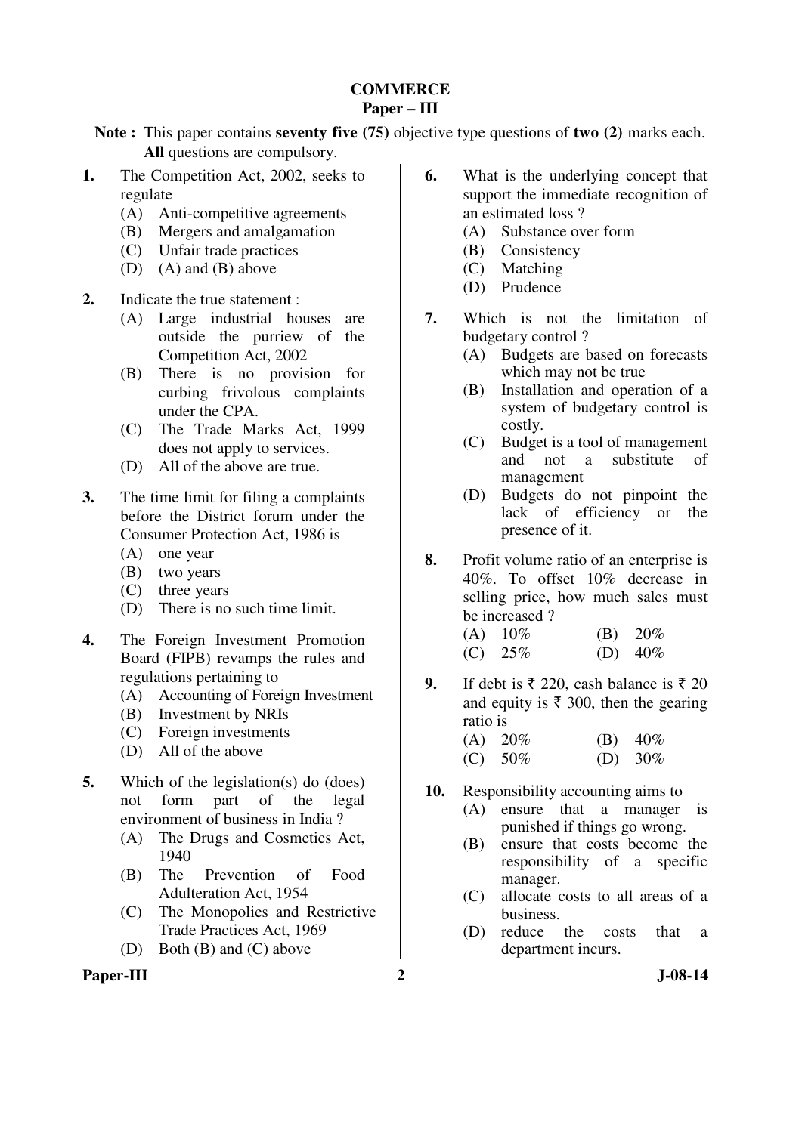#### **COMMERCE Paper – III**

**Note :** This paper contains **seventy five (75)** objective type questions of **two (2)** marks each. **All** questions are compulsory.

- **1.** The Competition Act, 2002, seeks to regulate
	- (A) Anti-competitive agreements
	- (B) Mergers and amalgamation
	- (C) Unfair trade practices
	- (D) (A) and (B) above
- **2.** Indicate the true statement :
	- (A) Large industrial houses are outside the purriew of the Competition Act, 2002
	- (B) There is no provision for curbing frivolous complaints under the CPA.
	- (C) The Trade Marks Act, 1999 does not apply to services.
	- (D) All of the above are true.
- **3.** The time limit for filing a complaints before the District forum under the Consumer Protection Act, 1986 is
	- (A) one year
	- (B) two years
	- (C) three years
	- (D) There is no such time limit.
- **4.** The Foreign Investment Promotion Board (FIPB) revamps the rules and regulations pertaining to
	- (A) Accounting of Foreign Investment
	- (B) Investment by NRIs
	- (C) Foreign investments
	- (D) All of the above
- **5.** Which of the legislation(s) do (does) not form part of the legal environment of business in India ?
	- (A) The Drugs and Cosmetics Act, 1940
	- (B) The Prevention of Food Adulteration Act, 1954
	- (C) The Monopolies and Restrictive Trade Practices Act, 1969
	- (D) Both (B) and (C) above

#### Paper-III 2 J-08-14

- **6.** What is the underlying concept that support the immediate recognition of an estimated loss ?
	- (A) Substance over form
	- (B) Consistency
	- (C) Matching
	- (D) Prudence
- **7.** Which is not the limitation of budgetary control ?
	- (A) Budgets are based on forecasts which may not be true
	- (B) Installation and operation of a system of budgetary control is costly.
	- (C) Budget is a tool of management and not a substitute of management
	- (D) Budgets do not pinpoint the lack of efficiency or the presence of it.
- **8.** Profit volume ratio of an enterprise is 40%. To offset 10% decrease in selling price, how much sales must be increased ?
	- (A)  $10\%$  (B)  $20\%$ (C)  $25\%$  (D)  $40\%$
- **9.** If debt is  $\bar{\tau}$  220, cash balance is  $\bar{\tau}$  20 and equity is  $\bar{\tau}$  300, then the gearing ratio is
	- (A)  $20\%$  (B)  $40\%$ (C)  $50\%$  (D)  $30\%$
- **10.** Responsibility accounting aims to
	- (A) ensure that a manager is punished if things go wrong.
	- (B) ensure that costs become the responsibility of a specific manager.
	- (C) allocate costs to all areas of a business.
	- (D) reduce the costs that a department incurs.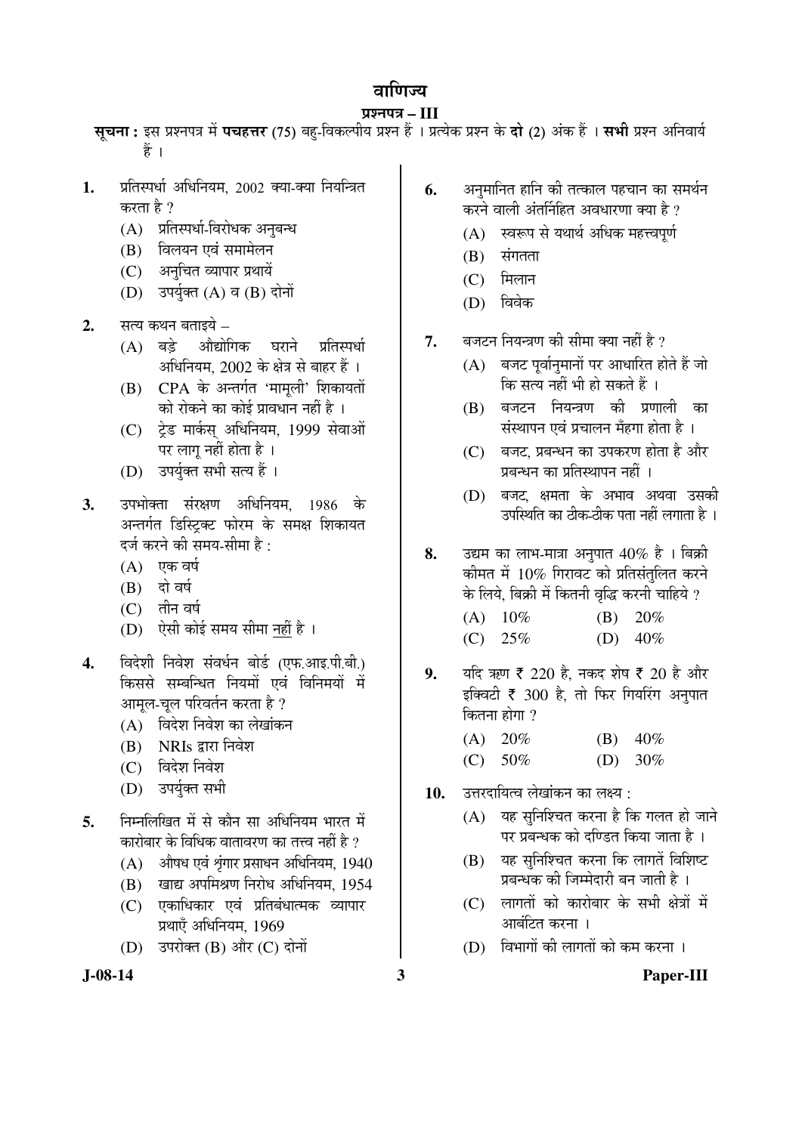# वाणिज्य

# प्रश्नपत्र – III

स्**चना:** इस प्रश्नपत्र में **पचहत्तर** (75) बह-विकल्पीय प्रश्न हैं । प्रत्येक प्रश्न के **दो (2)** अंक हैं । सभी प्रश्न अनिवार्य हें ।

- 1. प्रतिस्पर्धा अधिनियम, 2002 क्या-क्या नियन्त्रित करता है ?
	- (A) प्रतिस्पर्धा-विरोधक अनुबन्ध
	- (B) विलयन एवं समामेलन
	- (C) अनुचित व्यापार प्रथायें
	- $(D)$  उपर्युक्त  $(A)$  व  $(B)$  दोनों
- **2.** सत्य कथन बताइये
	- (A) बड़े औद्योगिक घराने प्रतिस्पर्धा अधिनियम, 2002 के क्षेत्र से बाहर हैं ।
	- (B) CPA के अन्तर्गत 'मामूली' शिकायतों को रोकने का कोई प्रावधान नहीं है ।
	- (C) टेड मार्कस अधिनियम, 1999 सेवाओं पर लाग नहीं होता है ।
	- (D) उपर्यक्त सभी सत्य हैं।
- **3.** उपभोक्ता संरक्षण अधिनियम, 1986 के अन्तर्गत डिस्टिक्ट फोरम के समक्ष शिकायत दर्ज करने की समय-सीमा है :
	- $(A)$  एक वर्ष
	- $(B)$  दो वर्ष
	- $(C)$  तीन वर्ष
	- (D) ऐसी कोई समय सीमा नहीं है ।
- 4. विदेशी निवेश संवर्धन बोर्ड (एफ.आइ.पी.बी.) किससे सम्बन्धित नियमों एवं विनिमयों में आमूल-चूल परिवर्तन करता है ?
	- (A) विदेश निवेश का लेखांकन
	- $(B)$  NRIs द्वारा निवेश
	- $(C)$  विदेश निवेश
	- (D) उपर्युक्त सभी
- 5. निम्नलिखित में से कौन सा अधिनियम भारत में कारोबार के विधिक वातावरण का तत्त्व नहीं है ?
	- $(A)$  औषध एवं शृंगार प्रसाधन अधिनियम, 1940
	- (B) खाद्य अपमिश्रण निरोध अधिनियम, 1954
	- (C) एकाधिकार एवं प्रतिबंधात्मक व्यापार प्रथाएँ अधिनियम, 1969
	- $(D)$  उपरोक्त  $(B)$  और  $(C)$  दोनों
- 
- **6.** अनुमानित हानि की तत्काल पहचान का समर्थन करने वाली अंतर्निहित अवधारणा क्या है ?
	- (A) स्वरूप से यथार्थ अधिक महत्त्वपूर्ण
	- $(B)$  संगतता
	- $(C)$  मिलान
	- (D) विवेक
- 7. बजटन नियन्त्रण की सीमा क्या नहीं है ?
	- $(A)$  बजट पूर्वानुमानों पर आधारित होते हैं जो कि सत्य नहीं भी हो सकते हैं ।
	- $(B)$  बजटन नियन्त्रण की प्रणाली का संस्थापन एवं प्रचालन मँहगा होता है ।
	- $(C)$  बजट, प्रबन्धन का उपकरण होता है और प्रबन्धन का प्रतिस्थापन नहीं ।
	- $(D)$  बजट क्षमता के अभाव अथवा उसकी उपस्थिति का ठीक-ठीक पता नहीं लगाता है ।
- 8. उद्यम का लाभ-मात्रा अनुपात 40% है। बिक्री कीमत में  $10\%$  गिरावट को प्रतिसंतुलित करने के लिये, बिक्री में कितनी वृद्धि करनी चाहिये ?
	- (A) 10% (B) 20% (C)  $25\%$  (D)  $40\%$
- 9. यदि ऋण ₹ 220 है, नकद शेष ₹ 20 है और इक्विटी  $\bar{\tau}$  300 है, तो फिर गियरिंग अनुपात कितना होगा $\vartheta$ 
	- (A)  $20\%$  (B)  $40\%$  $(C)$  50% (D) 30%
- 10. amatalada oo beel saad variation.
	- $(A)$  यह सुनिश्चित करना है कि गलत हो जाने पर प्रबन्धक को दण्डित किया जाता है ।
	- $(B)$  यह सुनिश्चित करना कि लागतें विशिष्ट प्रबन्धक की जिम्मेदारी बन जाती है ।
	- $(C)$  लागतों को कारोबार के सभी क्षेत्रों में आबंटित करना ।
	- $(D)$  विभागों की लागतों को कम करना ।

# **J-08-14 3 Paper-III**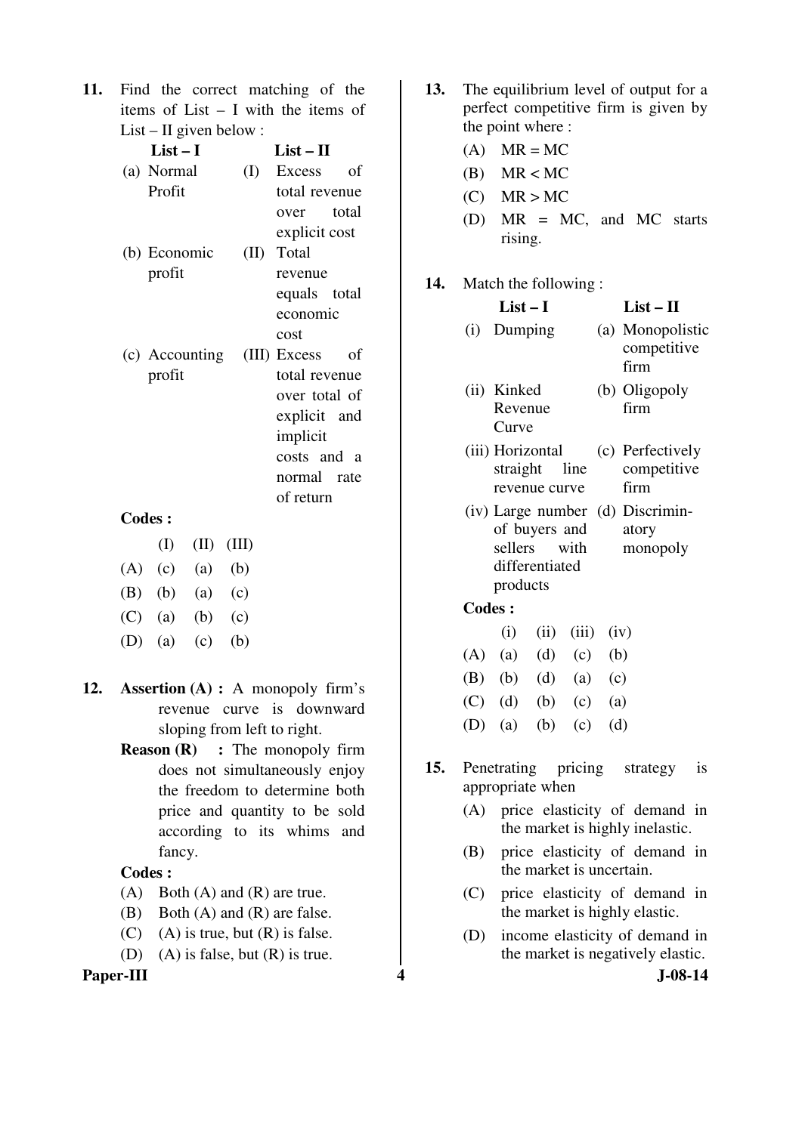**11.** Find the correct matching of the items of List – I with the items of List – II given below :

| List – I                    | $List-II$        |
|-----------------------------|------------------|
| (a) Normal                  | (I) Excess<br>of |
| Profit                      | total revenue    |
|                             | over total       |
|                             | explicit cost    |
| (b) Economic                | (II) Total       |
| profit                      | revenue          |
|                             | equals total     |
|                             | economic         |
|                             | cost             |
| (c) Accounting (III) Excess | of               |
| profit                      | total revenue    |
|                             | over total of    |
|                             | explicit and     |
|                             | implicit         |
|                             | costs and a      |
|                             | normal rate      |
|                             | of return        |

#### **Codes :**

|             | (I)       | $(II)$ $(III)$ |             |
|-------------|-----------|----------------|-------------|
|             | $(A)$ (c) | (a)            | (b)         |
| $(B)$ $(b)$ |           |                | $(a)$ $(c)$ |
| $(C)$ (a)   |           | (b)            | (c)         |
| $(D)$ (a)   |           | (c)            | (b)         |

- **12. Assertion (A) :** A monopoly firm's revenue curve is downward sloping from left to right.
	- **Reason (R)** : The monopoly firm does not simultaneously enjoy the freedom to determine both price and quantity to be sold according to its whims and fancy.

#### **Codes :**

- (A) Both (A) and (R) are true.
- (B) Both (A) and (R) are false.
- $(C)$  (A) is true, but  $(R)$  is false.
- (D) (A) is false, but (R) is true.

#### **Paper-III 4** J-08-14

- **13.** The equilibrium level of output for a perfect competitive firm is given by the point where :
	- $(A)$  MR = MC
	- $(B)$  MR < MC
	- $(C)$  MR > MC
	- (D) MR = MC, and MC starts rising.
- **14.** Match the following :

|               | $List-I$                                                          |                             |           |     | $List-II$                                             |
|---------------|-------------------------------------------------------------------|-----------------------------|-----------|-----|-------------------------------------------------------|
|               | (i) Dumping                                                       |                             |           |     | (a) Monopolistic<br>competitive<br>firm               |
|               | (ii) Kinked<br>Revenue<br>Curve                                   |                             |           |     | (b) Oligopoly<br>firm                                 |
|               | (iii) Horizontal<br>revenue curve                                 |                             |           |     | (c) Perfectively<br>straight line competitive<br>firm |
|               | of buyers and atory<br>sellers with<br>differentiated<br>products |                             |           |     | (iv) Large number (d) Discrimin-<br>monopoly          |
| <b>Codes:</b> |                                                                   |                             |           |     |                                                       |
|               |                                                                   | $(i)$ $(ii)$ $(iii)$ $(iv)$ |           |     |                                                       |
|               | $(A)$ (a) (d) (c) (b)                                             |                             |           |     |                                                       |
|               | (B) (b) (d) (a) (c)                                               |                             |           |     |                                                       |
| (C)           | (d)                                                               |                             | $(b)$ (c) | (a) |                                                       |

- (D) (a) (b) (c) (d)
- **15.** Penetrating pricing strategy is appropriate when
	- (A) price elasticity of demand in the market is highly inelastic.
	- (B) price elasticity of demand in the market is uncertain.
	- (C) price elasticity of demand in the market is highly elastic.
	- (D) income elasticity of demand in the market is negatively elastic.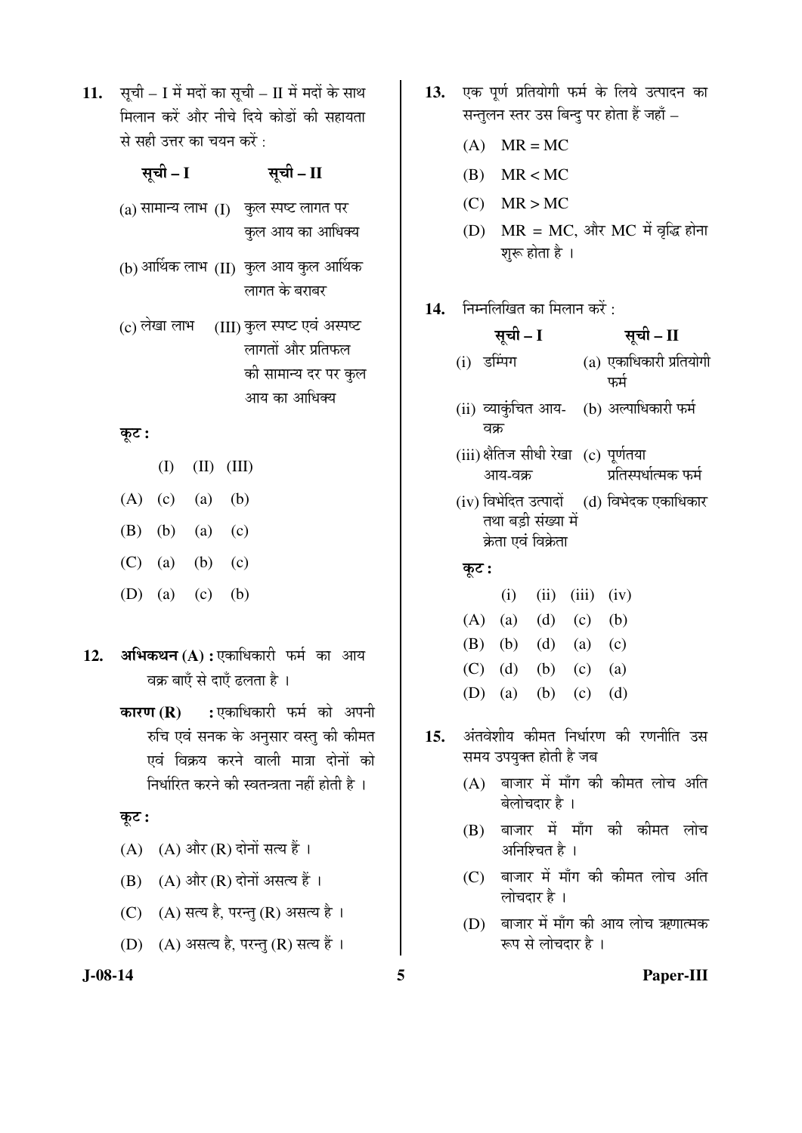11. सूची – I में मदों का सूची – II में मदों के साथ <u>मिलान करें और नीचे दिये कोडों की सहायता</u> से सही उत्तर का चयन करें $\,$ :

# ÃÖæ"Öß **– I** ÃÖæ"Öß **– II**

- $($ ) सामान्य लाभ $($   $)$  कुल स्पष्ट लागत पर कुल आय का आधिक्य
- (b) आर्थिक लाभ  $\rm(H)$  कुल आय कुल आर्थिक लागत के बराबर
- $(c)$  लेखा लाभ (III) कुल स्पष्ट एवं अस्पष्ट लागतों और प्रतिफल की सामान्य दर पर कुल आय का आधिक्य

#### Ûæú™ü **:**

- (I) (II) (III)  $(A)$   $(c)$   $(a)$   $(b)$
- (B) (b) (a) (c)
- 
- $(C)$  (a) (b) (c)
- (D) (a) (c) (b)
- 12. अभिकथन (A) : एकाधिकारी फर्म का आय वक्र बाएँ से दाएँ ढलता है ।
	- **कारण (R) :** एकाधिकारी फर्म को अपनी रुचि एवं सनक के अनुसार वस्तु की कीमत एवं विक्रय करने वाली मात्रा दोनों को निर्धारित करने की स्वतन्त्रता नहीं होती है ।

#### कूट :

- $(A)$   $(A)$  और  $(R)$  दोनों सत्य हैं।
- $(B)$   $(A)$  और  $(R)$  दोनों असत्य हैं ।
- (C) (A) सत्य है, परन्तु (R) असत्य है।
- (D) (A) असत्य है, परन्तु (R) सत्य हैं ।
- 13. एक पूर्ण प्रतियोगी फर्म के लिये उत्पादन का सन्तुलन स्तर उस बिन्दु पर होता हैं जहाँ  $-$ 
	- $(A)$  MR = MC
	- $(B)$  MR < MC
	- $(C)$  MR > MC
	- $(D)$   $MR = MC$ , और  $MC$  में वृद्धि होना शुरू होता है ।
- 14. निम्नलिखित का मिलान करें :

| सूची – I                                           | सूची – II                                    |
|----------------------------------------------------|----------------------------------------------|
| (i) डम्पिंग                                        | (a) एकाधिकारी प्रतियोगी<br>फर्म              |
| (ii) व्याकुंचित आय-   (b) अल्पाधिकारी फर्म<br>वक्र |                                              |
| (iii) क्षैतिज सीधी रेखा (c) पूर्णतया<br>आय-वक्र    | प्रतिस्पर्धात्मक फर्म                        |
| तथा बडी संख्या में<br>क्रेता एवं विक्रेता          | (iv) विभेदित उत्पादों    (d) विभेदक एकाधिकार |
| कूट :                                              |                                              |
| (i)                                                | $(ii)$ $(iii)$ $(iv)$                        |

| $(A)$ (a) (d) (c) (b) |  |  |
|-----------------------|--|--|
| (B) (b) (d) (a) (c)   |  |  |
| (C) (d) (b) (c) (a)   |  |  |
| (D) (a) (b) (c) (d)   |  |  |

- 15. अंतवेशीय कीमत निर्धारण की रणनीति उस समय उपयुक्त होती है जब
	- $(A)$  बाजार में माँग की कीमत लोच अति बेलोचदार है ।
	- $(B)$  बाजार में माँग की कीमत लोच अनिश्चित है ।
	- (C) बाजार में माँग की कीमत लोच अति लोचदार है $\perp$
	- $(D)$  बाजार में माँग की आय लोच ऋणात्मक रूप से लोचदार है ।

**J-08-14 5 Paper-III**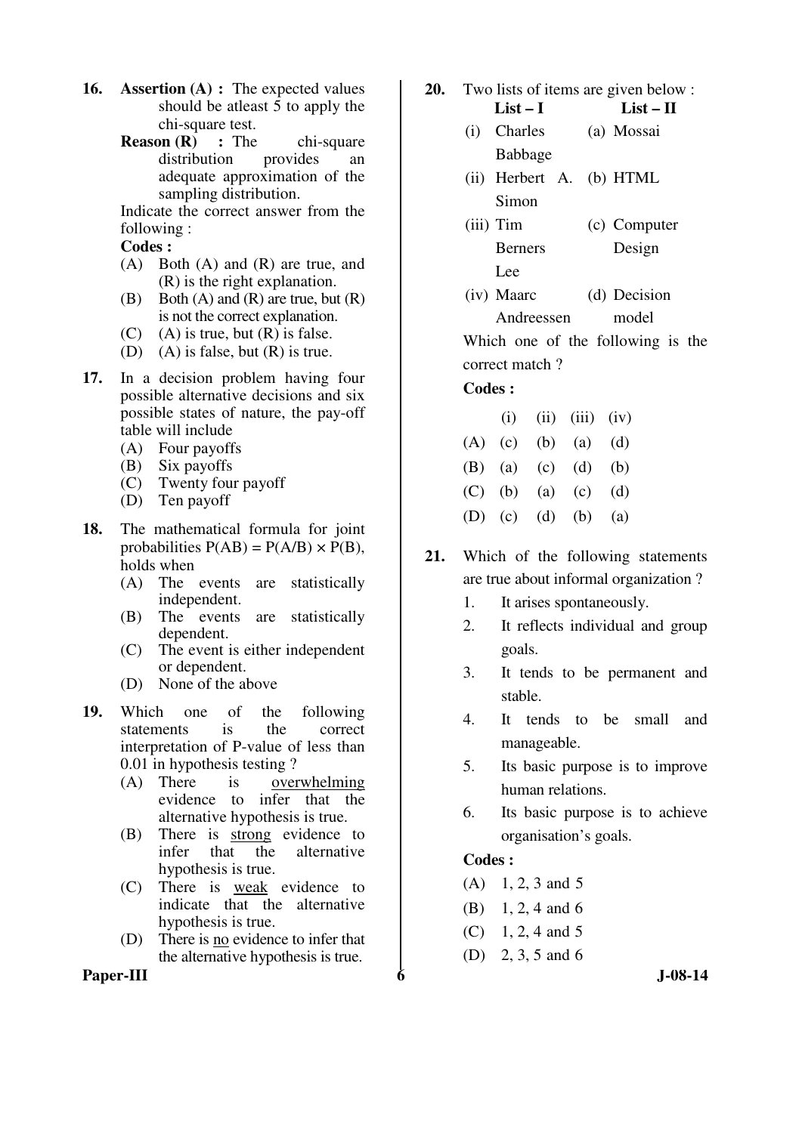- **16. Assertion (A) :** The expected values should be atleast 5 to apply the chi-square test.
	- **Reason (R) :** The chi-square distribution provides an distribution provides an adequate approximation of the sampling distribution.

Indicate the correct answer from the following :

 **Codes :** 

- (A) Both (A) and (R) are true, and (R) is the right explanation.
- (B) Both  $(A)$  and  $(R)$  are true, but  $(R)$ is not the correct explanation.
- $(C)$  (A) is true, but  $(R)$  is false.
- (D) (A) is false, but (R) is true.
- **17.** In a decision problem having four possible alternative decisions and six possible states of nature, the pay-off table will include
	- (A) Four payoffs
	- (B) Six payoffs
	- (C) Twenty four payoff
	- (D) Ten payoff
- **18.** The mathematical formula for joint probabilities  $P(AB) = P(A/B) \times P(B)$ , holds when
	- (A) The events are statistically independent.
	- (B) The events are statistically dependent.
	- (C) The event is either independent or dependent.
	- (D) None of the above
- **19.** Which one of the following statements is the correct interpretation of P-value of less than 0.01 in hypothesis testing ?
	- (A) There is overwhelming evidence to infer that the alternative hypothesis is true.
	- (B) There is strong evidence to infer that the alternative hypothesis is true.
	- (C) There is weak evidence to indicate that the alternative hypothesis is true.
	- (D) There is no evidence to infer that the alternative hypothesis is true.

Paper-III 6 J-08-14

- **20.** Two lists of items are given below :
	- **List I List II**  (i) Charles Babbage (a) Mossai
	- (ii) Herbert A. Simon (b) HTML
	- (iii) Tim Berners Lee (c) Computer Design
	- (iv) Maarc Andreessen (d) Decision model

 Which one of the following is the correct match ?

# **Codes :**

|  | $(i)$ $(ii)$ $(iii)$ $(iv)$ |  |
|--|-----------------------------|--|
|  | $(A)$ (c) (b) (a) (d)       |  |
|  | (B) (a) (c) (d) (b)         |  |
|  | (C) (b) (a) (c) (d)         |  |
|  | (D) (c) (d) (b) (a)         |  |

- **21.** Which of the following statements are true about informal organization ?
	- 1. It arises spontaneously.
	- 2. It reflects individual and group goals.
	- 3. It tends to be permanent and stable.
	- 4. It tends to be small and manageable.
	- 5. Its basic purpose is to improve human relations.
	- 6. Its basic purpose is to achieve organisation's goals.

# **Codes :**

- $(A)$  1, 2, 3 and 5
- (B) 1, 2, 4 and 6
- $(C)$  1, 2, 4 and 5
- (D) 2, 3, 5 and 6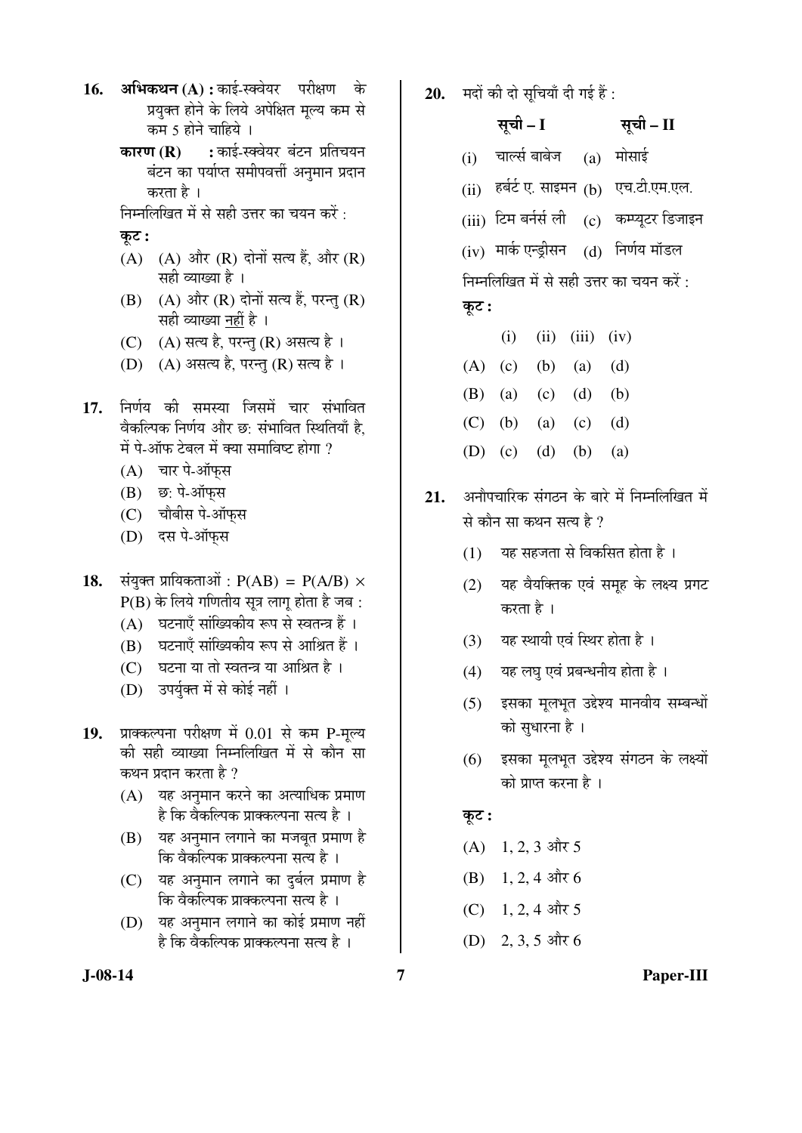- 16. **अभिकथन (A) :** काई-स्क्वेयर परीक्षण के प्रयुक्त होने के लिये अपेक्षित मृल्य कम से कम 5 होने चाहिये ।
	- **कारण (R) :** काई-स्क्वेयर बंटन प्रतिचयन बंटन का पर्याप्त समीपवर्त्ती अनमान प्रदान करता है ।
	- निम्नलिखित में से सही उत्तर का चयन करें :

#### कट :

- $(A)$   $(A)$  और  $(R)$  दोनों सत्य हैं, और  $(R)$ सही व्याख्या है ।
- $(B)$   $(A)$  और  $(R)$  दोनों सत्य हैं, परन्तु  $(R)$ सही व्याख्या नहीं है ।
- (C) (A) सत्य है, परन्तु (R) असत्य है।
- $(D)$   $(A)$  असत्य है, परन्तु  $(R)$  सत्य है।
- 17. निर्णय की समस्या जिसमें चार संभावित वैकल्पिक निर्णय और छ: संभावित स्थितियाँ है. में पे-ऑफ टेबल में क्या समाविष्ट होगा ?
	- $(A)$  चार पे-ऑफस
	- $(B)$  छ: पे-ऑफस
	- (C) चौबीस पे-ऑफ़स
	- (D) दस पे-ऑफ़स
- **18.** संयुक्त प्रायिकताओं :  $P(AB) = P(A/B) \times$  $P(B)$  के लिये गणितीय सूत्र लागू होता है जब :
	- (A) घटनाएँ सांख्यिकीय रूप से स्वतन्त्र हैं ।
	- (B) घटनाएँ सांख्यिकीय रूप से आश्रित हैं ।
	- $(C)$  घटना या तो स्वतन्त्र या आश्रित है।
	- (D) उपर्युक्त में से कोई नहीं ।
- 19. प्राक्कल्पना परीक्षण में 0.01 से कम P-मुल्य की सही व्याख्या निम्नलिखित में से कौन सा कथन प्रदान करता है ?
	- $(A)$  यह अनमान करने का अत्याधिक प्रमाण है कि वैकल्पिक प्राक्कल्पना सत्य है ।
	- (B) यह अनुमान लगाने का मजबूत प्रमाण है कि वैकल्पिक प्राक्कल्पना सत्य है ।
	- (C) यह अनुमान लगाने का दुर्बल प्रमाण है <u>कि वैकल्पिक प्राक्कल्पना सत्य है</u> ।
	- (D) यह अनुमान लगाने का कोई प्रमाण नहीं है कि वैकल्पिक प्राक्कल्पना सत्य है ।
- 20. **मदों की दो सुचियाँ दी गई हैं**:
	- सूची I <del>सू</del>ची II
	- $(i)$  चार्ल्स बाबेज  $(a)$  मोसाई
	- $(i)$  हर्बर्ट ए. साइमन  $(b)$  एच.टी.एम.एल.
	- $(iii)$  टिम बर्नर्स ली  $(c)$  कम्प्यूटर डिजाइन

 $(iv)$  मार्क एन्ड्रीसन  $(d)$  निर्णय मॉडल निम्नलिखित में से सही उत्तर का चयन करें :

# कूट :

- $(i)$   $(ii)$   $(iii)$   $(iv)$ (A) (c) (b) (a) (d)
- 
- (B) (a) (c) (d) (b)
- (C) (b) (a) (c) (d)
- (D) (c) (d) (b) (a)
- 21. अनौपचारिक संगठन के बारे में निम्नलिखित में से कौन सा कथन सत्य है ?
	- $(1)$  यह सहजता से विकसित होता है।
	- $(2)$  यह वैयक्तिक एवं समुह के लक्ष्य प्रगट करता है ।
	- (3) यह स्थायी एवं स्थिर होता है।
	- $(4)$  यह लघु एवं प्रबन्धनीय होता है।
	- (5) इसका मूलभूत उद्देश्य मानवीय सम्बन्धों को सुधारना है ।
	- (6) इसका मूलभूत उद्देश्य संगठन के लक्ष्यों को प्राप्त करना है ।

# $\overline{\phi}$ :

- $(A)$  1, 2, 3 और 5
- $(B)$  1, 2, 4 और 6
- $(C)$  1, 2, 4 और 5
- $(D)$  2, 3, 5 और 6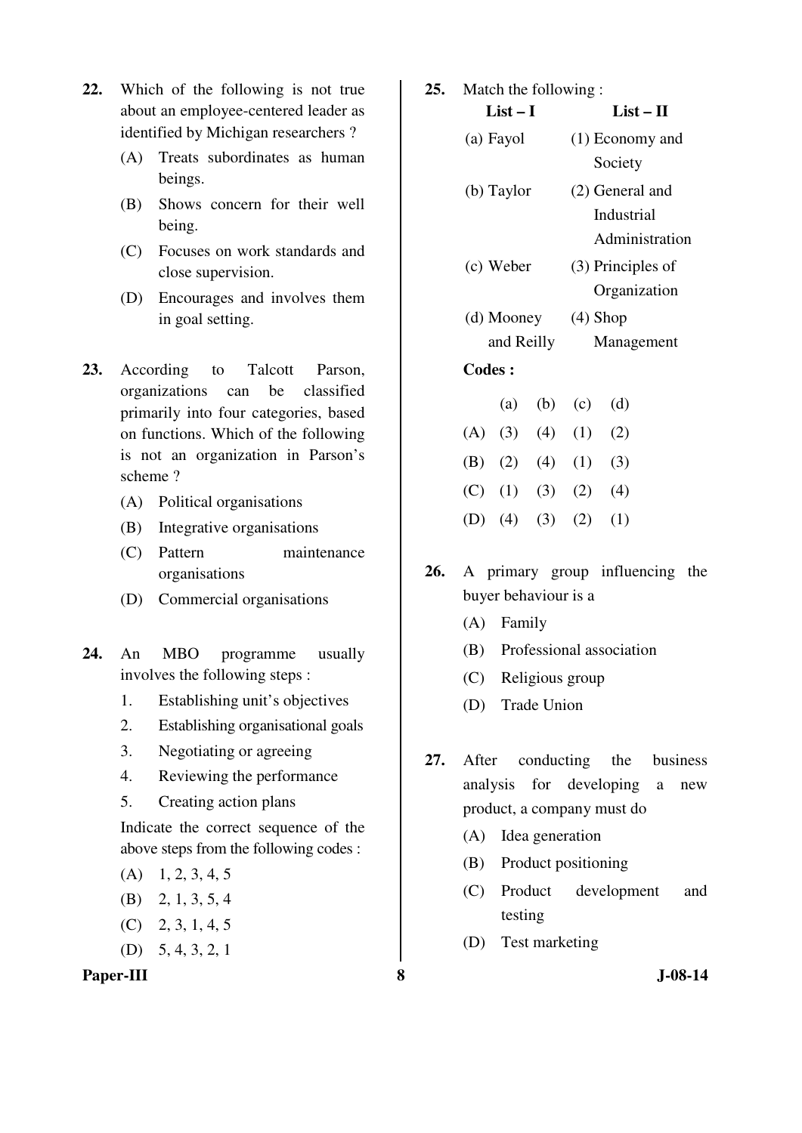- **22.** Which of the following is not true about an employee-centered leader as identified by Michigan researchers ?
	- (A) Treats subordinates as human beings.
	- (B) Shows concern for their well being.
	- (C) Focuses on work standards and close supervision.
	- (D) Encourages and involves them in goal setting.
- **23.** According to Talcott Parson, organizations can be classified primarily into four categories, based on functions. Which of the following is not an organization in Parson's scheme ?
	- (A) Political organisations
	- (B) Integrative organisations
	- (C) Pattern maintenance organisations
	- (D) Commercial organisations
- **24.** An MBO programme usually involves the following steps :
	- 1. Establishing unit's objectives
	- 2. Establishing organisational goals
	- 3. Negotiating or agreeing
	- 4. Reviewing the performance
	- 5. Creating action plans

 Indicate the correct sequence of the above steps from the following codes :

- $(A)$  1, 2, 3, 4, 5
- (B) 2, 1, 3, 5, 4
- (C) 2, 3, 1, 4, 5
- (D) 5, 4, 3, 2, 1

## **Paper-III** 3 J-08-14

| 25. | Match the following: |            |             |                       |                   |
|-----|----------------------|------------|-------------|-----------------------|-------------------|
|     | $List-I$             |            |             |                       | $List - II$       |
|     |                      | (a) Fayol  |             |                       | (1) Economy and   |
|     |                      |            |             |                       | Society           |
|     |                      | (b) Taylor |             |                       | (2) General and   |
|     |                      |            |             |                       | Industrial        |
|     |                      |            |             |                       | Administration    |
|     |                      | (c) Weber  |             |                       | (3) Principles of |
|     |                      |            |             |                       | Organization      |
|     | (d) Mooney           |            |             | $(4)$ Shop            |                   |
|     |                      |            | and Reilly  |                       | Management        |
|     | <b>Codes:</b>        |            |             |                       |                   |
|     |                      |            | $(a)$ $(b)$ | (c)                   | (d)               |
|     |                      |            |             | (A) (3) (4) (1) (2)   |                   |
|     |                      |            |             | (B) $(2)$ $(4)$ $(1)$ | (3)               |
|     |                      |            |             |                       |                   |

 $(C)$   $(1)$   $(3)$   $(2)$   $(4)$ 

 $25.$ 

- (D)  $(4)$   $(3)$   $(2)$   $(1)$
- **26.** A primary group influencing the buyer behaviour is a
	- (A) Family
	- (B) Professional association
	- (C) Religious group
	- (D) Trade Union
- **27.** After conducting the business analysis for developing a new product, a company must do
	- (A) Idea generation
	- (B) Product positioning
	- (C) Product development and testing
	- (D) Test marketing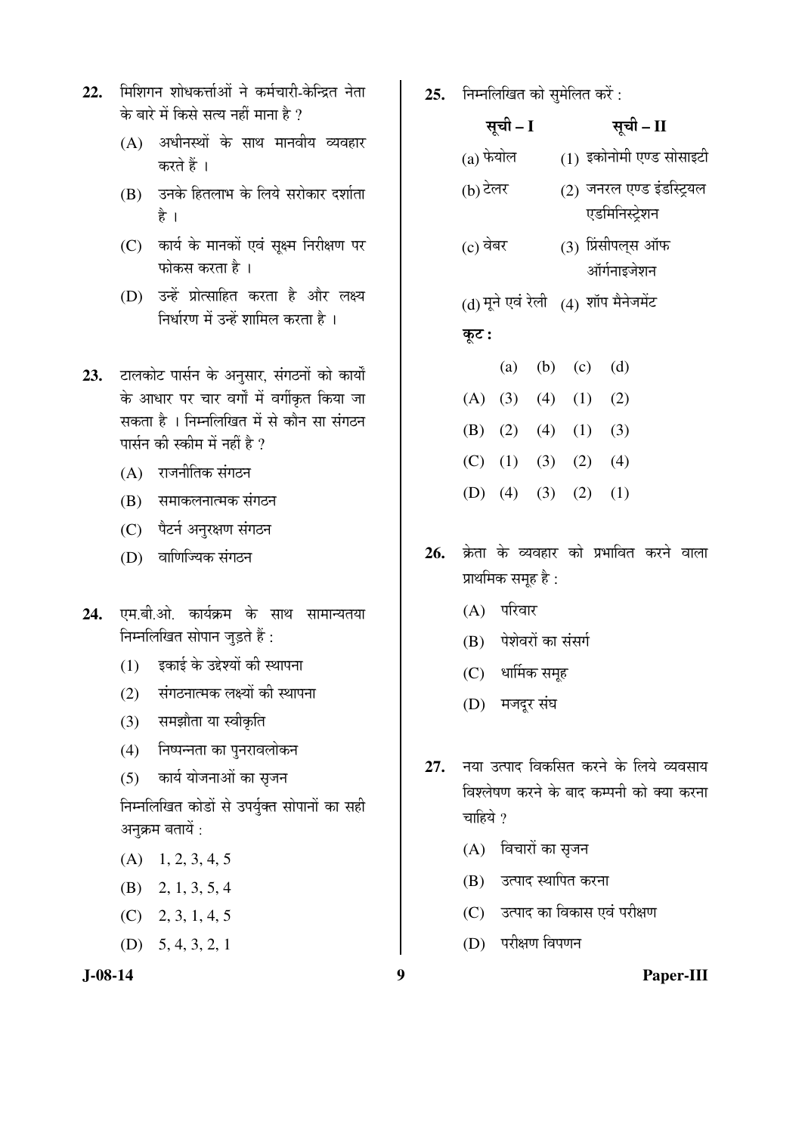- 22. मिशिगन शोधकर्त्ताओं ने कर्मचारी-केन्द्रित नेता के बारे में किसे सत्य नहीं माना है ?
	- $(A)$  अधीनस्थों के साथ मानवीय व्यवहार करते हैं ।
	- (B) उनके हितलाभ के लिये सरोकार दर्शाता है ।
	- (C) कार्य के मानकों एवं सूक्ष्म निरीक्षण पर फोकस करता है $\perp$
	- (D) उन्हें प्रोत्साहित करता है और लक्ष्य <u>निर्धारण में उन्हें शामिल करता है</u> ।
- 23. टालकोट पार्सन के अनुसार, संगठनों को कार्यों के आधार पर चार वर्गों में वर्गीकृत किया जा सकता है । निम्नलिखित में से कौन सा संगठन पार्सन की स्कीम में नहीं है ?
	- $(A)$  राजनीतिक संगठन
	- (B) समाकलनात्मक संगठन
	- (C) पैटर्न अनुरक्षण संगठन
	- (D) वाणिज्यिक संगठन
- 24. एम.बी.ओ. कार्यक्रम के साथ सामान्यतया निम्नलिखित सोपान जुड़ते हैं:
	- $(1)$  इकाई के उद्देश्यों की स्थापना
	- $(2)$  संगठनात्मक लक्ष्यों की स्थापना
	- (3) समझौता या स्वीकृति
	- (4) निष्पन्नता का पुनरावलोकन
	- (5) कार्य योजनाओं का सृजन
	- निम्नलिखित कोडों से उपर्युक्त सोपानों का सही अनुक्रम बतायें :
	- $(A)$  1, 2, 3, 4, 5
	- (B) 2, 1, 3, 5, 4
	- (C) 2, 3, 1, 4, 5
	- (D) 5, 4, 3, 2, 1

**25.** निम्नलिखित को सुमेलित करें :

|             | सूची – I  |                       | सूची – II                                   |
|-------------|-----------|-----------------------|---------------------------------------------|
| $(a)$ फेयोल |           |                       | (1) इकोनोमी एण्ड सोसाइटी                    |
| (b) टेलर    |           |                       | (2) जनरल एण्ड इंडस्ट्रियल<br>एडमिनिस्ट्रेशन |
| (c) वेबर    |           |                       | (3) प्रिंसीपल्स ऑफ<br>ऑर्गनाइजेशन           |
|             |           |                       | (d) मूने एवं रेली (4) शॉप मैनेजमेंट         |
| कूट :       |           |                       |                                             |
|             | (a)       | $(b)$ $(c)$           | (d)                                         |
|             |           | (A) (3) (4) (1) (2)   |                                             |
|             |           | (B) (2) (4) (1) (3)   |                                             |
|             |           | $(C)$ (1) (3) (2) (4) |                                             |
|             | $(D)$ (4) | $(3)$ $(2)$           | (1)                                         |

- 26. क्रेता के व्यवहार को प्रभावित करने वाला प्राथमिक समूह है:
	- $(A)$  परिवार
	- (B) पेशेवरों का संसर्ग
	- (C) धार्मिक समूह
	- (D) मजदूर संघ
- 27. नया उत्पाद विकसित करने के लिये व्यवसाय विश्लेषण करने के बाद कम्पनी को क्या करना चाहिये  $\gamma$ 
	- $(A)$  विचारों का सृजन
	- (B) उत्पाद स्थापित करना
	- (C) उत्पाद का विकास एवं परीक्षण
	- (D) परीक्षण विपणन

# **J-08-14 9 Paper-III**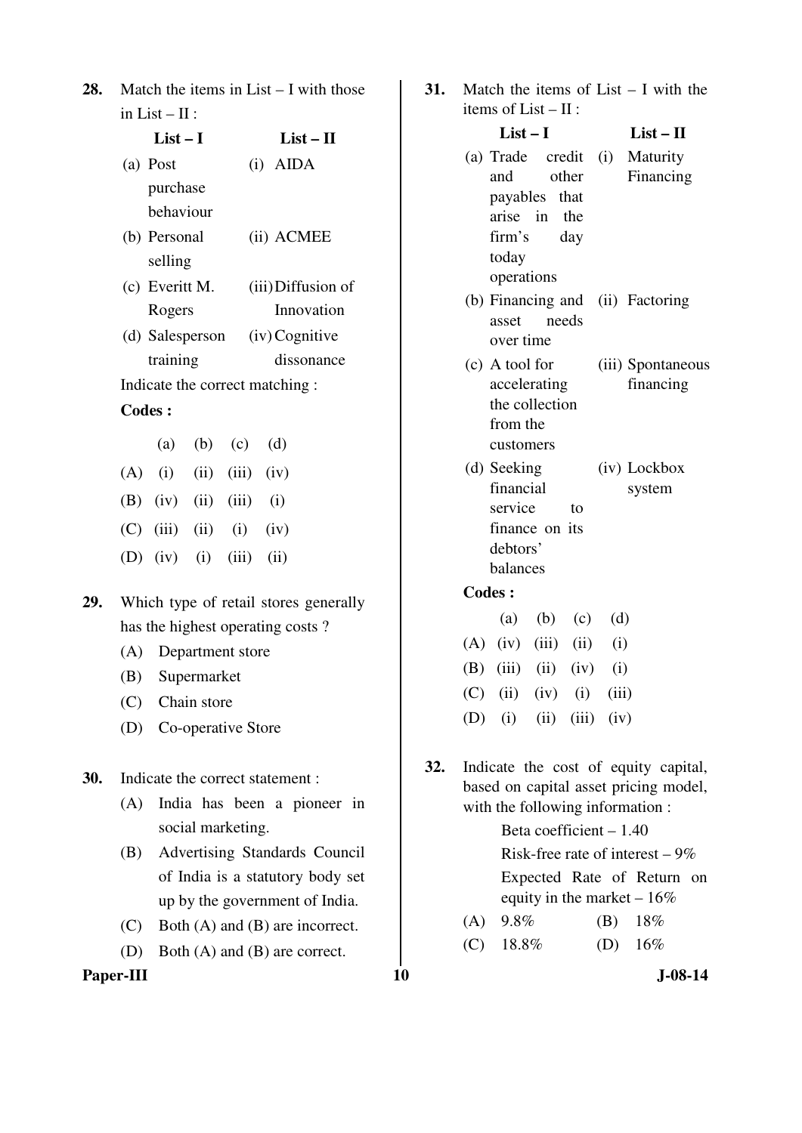| <b>28.</b> Match the items in List $-$ I with those |
|-----------------------------------------------------|
| in List $-$ II :                                    |

|     | $List-I$                    | $List-II$                      |  |
|-----|-----------------------------|--------------------------------|--|
|     | (a) Post                    | $(i)$ AIDA                     |  |
|     | purchase                    |                                |  |
|     | hehaviour                   |                                |  |
|     | (b) Personal                | (ii) ACMEE                     |  |
|     | selling                     |                                |  |
|     | (c) Everitt M.              | (iii) Diffusion of             |  |
|     | Rogers                      | Innovation                     |  |
|     |                             | (d) Salesperson (iv) Cognitive |  |
|     | training                    | dissonance                     |  |
|     |                             | Indicate the correct matching: |  |
|     | <b>Codes:</b>               |                                |  |
|     | (a) (b) (c)                 | (d)                            |  |
| (A) | $(i)$ $(ii)$ $(iii)$ $(iv)$ |                                |  |
|     |                             |                                |  |

- (B) (iv) (ii) (iii) (i)
- $(C)$  (iii) (ii) (iv)
- (D) (iv) (i) (iii) (ii)
- **29.** Which type of retail stores generally has the highest operating costs ?
	- (A) Department store
	- (B) Supermarket
	- (C) Chain store
	- (D) Co-operative Store

**30.** Indicate the correct statement :

- (A) India has been a pioneer in social marketing.
- (B) Advertising Standards Council of India is a statutory body set up by the government of India.
- (C) Both (A) and (B) are incorrect.
- (D) Both (A) and (B) are correct.

# **Paper-III** J-08-14

| 31. Match the items of List $-$ I with the |
|--------------------------------------------|
| items of $List - II$ :                     |

| $List-I$                         |       | $List - II$ |
|----------------------------------|-------|-------------|
| (a) Trade credit (i) Maturity    |       |             |
| and other                        |       | Financing   |
| payables that                    |       |             |
| arise in the                     |       |             |
| firm's day                       |       |             |
| today                            |       |             |
| operations                       |       |             |
| (b) Financing and (ii) Factoring |       |             |
| asset                            | needs |             |
| over time                        |       |             |

- (c) A tool for accelerating the collection from the customers (iii) Spontaneous financing
- (d) Seeking financial service to finance on its debtors' balances (iv) Lockbox system

# **Codes :**

|  |  | (a) (b) (c) (d)                 |  |
|--|--|---------------------------------|--|
|  |  | $(A)$ (iv) (iii) (ii) (i)       |  |
|  |  | (B) $(iii)$ $(ii)$ $(iv)$ $(i)$ |  |
|  |  | (C) (ii) (iv) (i) (iii)         |  |
|  |  | (D) (i) (ii) (iii) (iv)         |  |

**32.** Indicate the cost of equity capital, based on capital asset pricing model, with the following information :

> Beta coefficient – 1.40 Risk-free rate of interest  $-9\%$  Expected Rate of Return on equity in the market – 16%

- (A) 9.8% (B) 18%
- (C)  $18.8\%$  (D)  $16\%$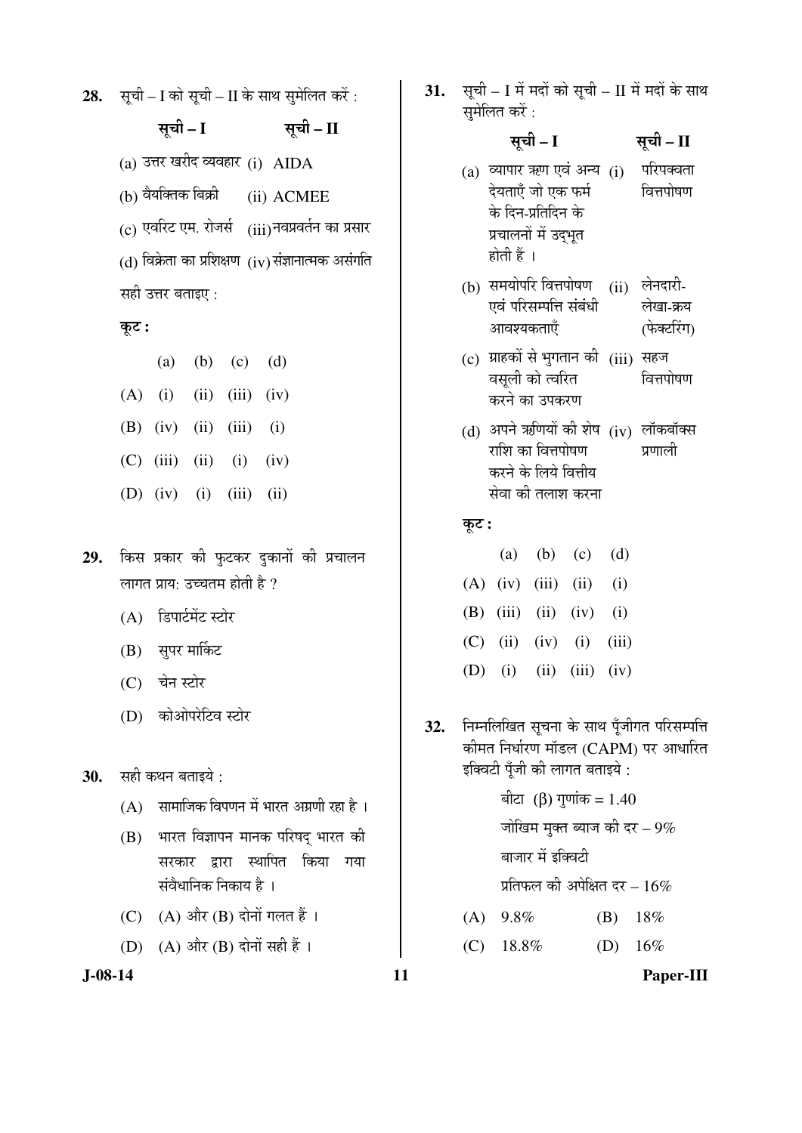**28.** सूची – I को सूची – II के साथ सुमेलित करें :

# ÃÖæ"Öß **– I** ÃÖæ"Öß **– II**

 $(a)$  उत्तर खरीद व्यवहार  $(i)$  AIDA

 $(b)$  वैयक्तिक बिक्री  $(ii)$   $\Lambda$ CMEE

 $\rm (c)$  एवरिट एम. रोजर्स  $\rm (iii)$ नवप्रवर्तन का प्रसार

 $(d)$  विक्रेता का प्रशिक्षण  $(iv)$  संज्ञानात्मक असंगति

# सही उत्तर बताइए :

## Ûæú™ü **:**

|  | (a) (b) (c) (d)                 |  |
|--|---------------------------------|--|
|  | $(A)$ (i) (ii) (iii) (iv)       |  |
|  | (B) $(iv)$ $(ii)$ $(iii)$ $(i)$ |  |
|  | (C) $(iii)$ $(ii)$ $(i)$ $(iv)$ |  |
|  | (D) (iv) (i) (iii) (ii)         |  |
|  |                                 |  |

- 29. किस प्रकार की फुटकर दुकानों की प्रचालन लागत प्राय: उच्चतम होती है ?
	- $(A)$  डिपार्टमेंट स्टोर
	- (B) सुपर मार्किट
	- (C) चेन स्टोर
	- (D) कोओपरेटिव स्टोर
- 30. सही कथन बताइये :
	- $(A)$  सामाजिक विपणन में भारत अग्रणी रहा है ।
	- (B) भारत विज्ञापन मानक परिषद भारत की सरकार द्वारा स्थापित किया गया संवैधानिक निकाय है ।
	- (C)  $(A)$  और  $(B)$  दोनों गलत हैं।
	- (D)  $(A)$  और  $(B)$  दोनों सही हैं।

31. सूची – I में मदों को सूची – II में मदों के साथ समेलित करें :

# सूची – I <del>सू</del>ची – II

- $(a)$  व्यापार ऋण एवं अन्य  $(i)$ देयताएँ जो एक फर्म के दिन-प्रतिदिन के प्रचालनों में उदभूत होती हैं । परिपक्वता वित्तपोषण
- (b) समयोपरि वित्तपोषण (ii) लेनदारी-एवं परिसम्पत्ति संबंधी आवश्यकताएँ लेखा-क्रय (फेक्टरिंग)
- (c) ग्राहकों से भुगतान की (iii) सहज वसुली को त्वरित करने का उपकरण वित्तपोषण
- (d) अपने ऋणियों की शेष (iv) लॉकबॉक्स राशि का वित्तपोषण करने के लिये वित्तीय सेवा की तलाश करना प्रणाली

#### Ûæú™ü **:**

|                                 | (a) (b) (c) (d) |  |
|---------------------------------|-----------------|--|
| $(A)$ (iv) (iii) (ii) (i)       |                 |  |
| (B) $(iii)$ $(ii)$ $(iv)$ $(i)$ |                 |  |
| (C) (ii) (iv) (i) (iii)         |                 |  |
| (D) (i) (ii) (iii) (iv)         |                 |  |

- 32. Fiम्नलिखित सूचना के साथ पूँजीगत परिसम्पत्ति कीमत निर्धारण मॉडल (CAPM) पर आधारित इक्विटी पूँजी की लागत बताइये :
	- ৰীटা (β) गुणांक = 1.40 जोखिम मुक्त ब्याज की दर $-9\%$ बाजार में इक्विटी प्रतिफल की अपेक्षित दर –  $16\%$ (A) 9.8% (B) 18%
	- (C)  $18.8\%$  (D)  $16\%$

**J-08-14 11 Paper-III**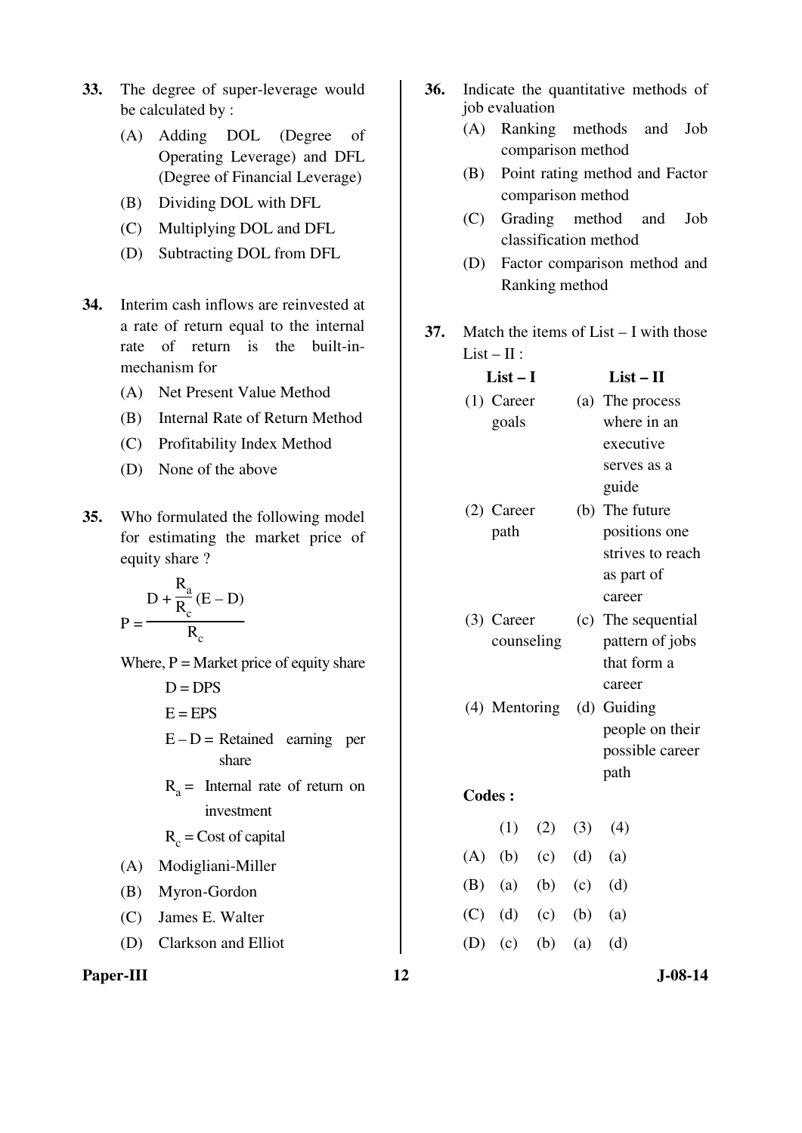- **33.** The degree of super-leverage would be calculated by :
	- (A) Adding DOL (Degree of Operating Leverage) and DFL (Degree of Financial Leverage)
	- (B) Dividing DOL with DFL
	- (C) Multiplying DOL and DFL
	- (D) Subtracting DOL from DFL
- **34.** Interim cash inflows are reinvested at a rate of return equal to the internal rate of return is the built-inmechanism for
	- (A) Net Present Value Method
	- (B) Internal Rate of Return Method
	- (C) Profitability Index Method
	- (D) None of the above
- **35.** Who formulated the following model for estimating the market price of equity share ?

$$
P = \frac{D + \frac{R_a}{R_c}(E - D)}{R_c}
$$

Where,  $P =$  Market price of equity share

 $D = DPS$ 

 $E = EPS$ 

- $E D =$  Retained earning per share
- $R_a$  = Internal rate of return on investment

 $R_c$  = Cost of capital

- (A) Modigliani-Miller
- (B) Myron-Gordon
- (C) James E. Walter
- (D) Clarkson and Elliot

Paper-III **12** J-08-14

- **36.** Indicate the quantitative methods of job evaluation
	- (A) Ranking methods and Job comparison method
	- (B) Point rating method and Factor comparison method
	- (C) Grading method and Job classification method
	- (D) Factor comparison method and Ranking method
- **37.** Match the items of List I with those  $List - II:$

| $List-I$      |             |               | $List - II$               |
|---------------|-------------|---------------|---------------------------|
| $(1)$ Career  |             |               | (a) The process           |
| goals         |             |               | where in an               |
|               |             |               | executive                 |
|               |             |               | serves as a               |
|               |             |               | guide                     |
| $(2)$ Career  |             |               | (b) The future            |
| path          |             |               | positions one             |
|               |             |               | strives to reach          |
|               |             |               | as part of                |
|               |             |               | career                    |
| (3) Career    |             |               | (c) The sequential        |
|               | counseling  |               | pattern of jobs           |
|               |             |               | that form a               |
|               |             |               | career                    |
|               |             |               | (4) Mentoring (d) Guiding |
|               |             |               | people on their           |
|               |             |               | possible career           |
|               |             |               | path                      |
| <b>Codes:</b> |             |               |                           |
|               | $(1)$ $(2)$ | (3)           | (4)                       |
| $(A)$ $(b)$   | (c)         | (d)           | (a)                       |
| $(B)$ (a)     |             | (b) $(c)$ (d) |                           |
| $(C)$ (d) (c) |             | (b)           | (a)                       |
| $(D)$ (c)     | (b)         | (a)           | (d)                       |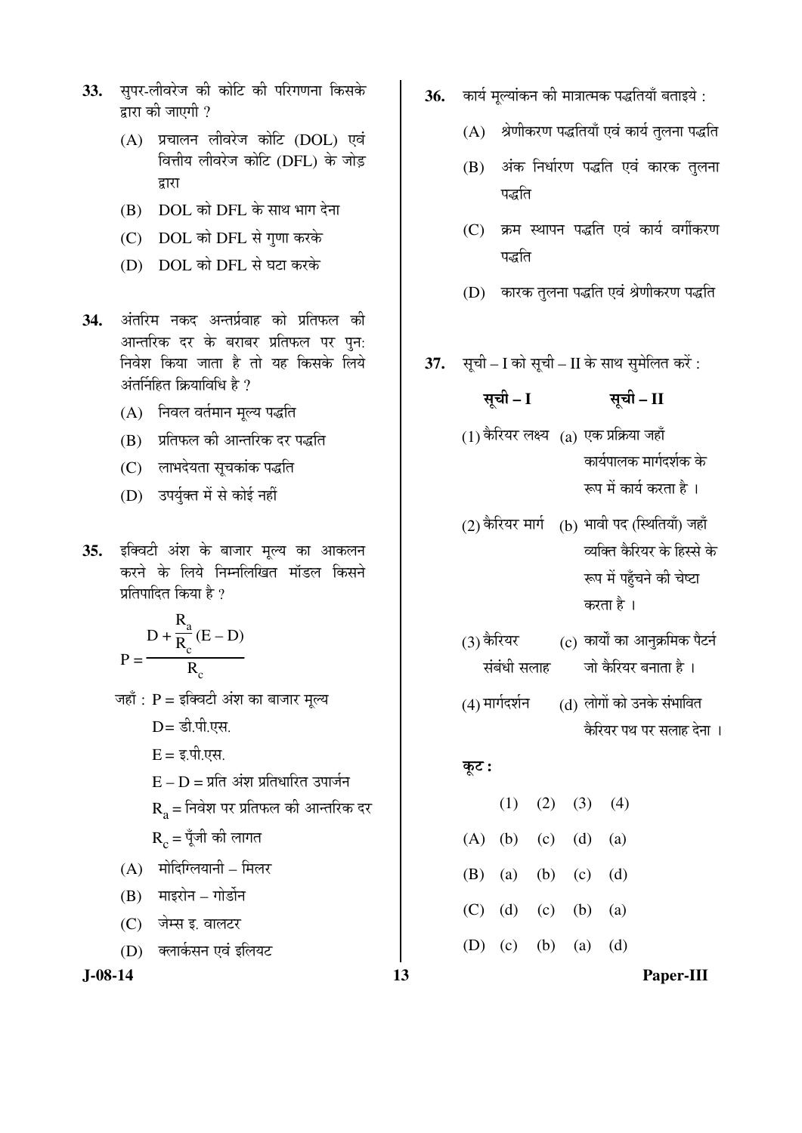- 33. सुपर-लीवरेज की कोटि की परिगणना किसके द्वारा की जाएगी ?
	- (A) प्रचालन लीवरेज कोटि (DOL) एवं <u>वित्तीय लीवरेज कोटि (DFL) के जोड</u> द्वारा
	- (B) DOL को DFL के साथ भाग देना
	- (C) DOL को DFL से गुणा करके
	- (D) DOL को DFL से घटा करके
- 34. अंतरिम नकद अन्तर्प्रवाह को प्रतिफल की आन्तरिक दर के बराबर प्रतिफल पर पुन: <u>निवेश किया जाता है तो यह किसके लिये</u> अंतर्निहित क्रियाविधि है ?
	- (A) निवल वर्तमान मूल्य पद्धति
	- (B) जिंदिएल की आन्तरिक दर पद्धति
	- (C) लाभदेयता सचकांक पद्धति
	- (D) उपर्युक्त में से कोई नहीं
- 35. इक्विटी अंश के बाजार मूल्य का आकलन करने के लिये निम्नलिखित मॉडल किसने प्रतिपादित किया है ?

$$
P = \frac{D + \frac{R_a}{R_c}(E - D)}{R_c}
$$

- जहाँ :  $P =$ इक्विटी अंश का बाजार मूल्य
	- $D = \overline{s}$ ी.पी.एस.
	- $E = \xi \hat{\mathbf{u}}$ . एस.
	- $E D = \bar{\mathbf{\Sigma}}$ ति अंश प्रतिधारित उपार्जन
	- $R<sub>a</sub>$  = निवेश पर प्रतिफल की आन्तरिक दर

 $R_c = \check{q}$ जी की लागत

- $(A)$  मोदिग्लियानी मिलर
- $(B)$  माइरोन गोर्डोन
- (C) जेम्स इ. वालटर
- (D) क्लार्कसन एवं इलियट

- **36.** कार्य मुल्यांकन की मात्रात्मक पद्धतियाँ बताइये :
	- $(A)$  श्रेणीकरण पद्धतियाँ एवं कार्य तुलना पद्धति
	- (B) अंक निर्धारण पद्धति एवं कारक तुलना पद्धति
	- (C) क्रम स्थापन पद्धति एवं कार्य वर्गीकरण पद्धति
	- (D) कारक तुलना पद्धति एवं श्रेणीकरण पद्धति
- **37.** सूची I को सूची II के साथ सुमेलित करें :

$$
\overline{q} = I \qquad \qquad \overline{q} = \Pi
$$

- $(1)$  कैरियर लक्ष्य  $(2)$  एक प्रक्रिया जहाँ कार्यपालक मार्गदर्शक के रूप में कार्य करता है ।
- $(2)$  कैरियर मार्ग  $(6)$  भावी पद (स्थितियाँ) जहाँ व्यक्ति कैरियर के हिस्से के रूप में पहुँचने की चेष्टा करता है ।
- $(3)$  कैरियर $\overline{a}$ संबंधी सलाह  $\rm (c)$  कार्यों का आनुक्रमिक पैटर्न जो कैरियर बनाता है ।
- $(4)$  मार्गदर्शन  $(3)$  लोगों को उनके संभावित कैरियर पथ पर सलाह देना ।

#### कूट :

|  | $(1)$ $(2)$ $(3)$ $(4)$       |  |
|--|-------------------------------|--|
|  | $(A)$ $(b)$ $(c)$ $(d)$ $(a)$ |  |
|  | (B) (a) (b) (c) (d)           |  |
|  | $(C)$ (d) (c) (b) (a)         |  |
|  | (D) (c) (b) (a) (d)           |  |

**J-08-14 13 Paper-III**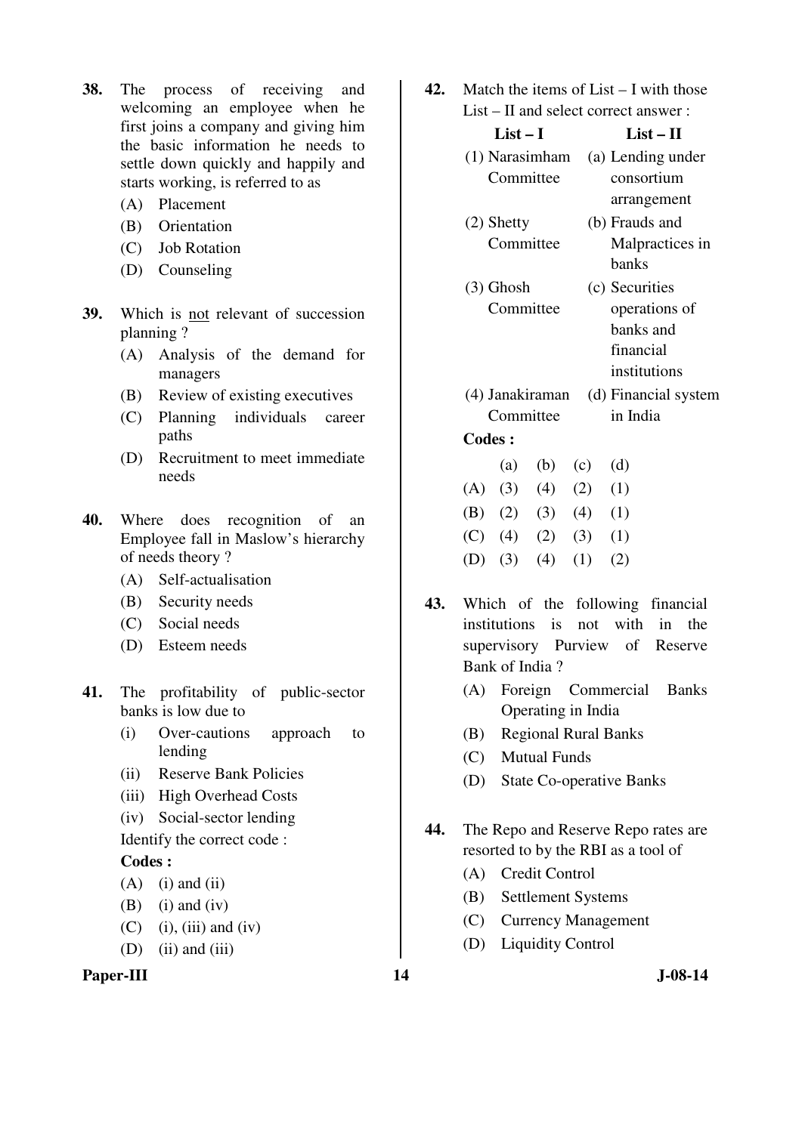- **38.** The process of receiving and welcoming an employee when he first joins a company and giving him the basic information he needs to settle down quickly and happily and starts working, is referred to as
	- (A) Placement
	- (B) Orientation
	- (C) Job Rotation
	- (D) Counseling
- **39.** Which is not relevant of succession planning ?
	- (A) Analysis of the demand for managers
	- (B) Review of existing executives
	- (C) Planning individuals career paths
	- (D) Recruitment to meet immediate needs
- **40.** Where does recognition of an Employee fall in Maslow's hierarchy of needs theory ?
	- (A) Self-actualisation
	- (B) Security needs
	- (C) Social needs
	- (D) Esteem needs
- **41.** The profitability of public-sector banks is low due to
	- (i) Over-cautions approach to lending
	- (ii) Reserve Bank Policies
	- (iii) High Overhead Costs
	- (iv) Social-sector lending
	- Identify the correct code :

#### **Codes :**

- $(A)$  (i) and (ii)
- $(B)$  (i) and (iv)
- $(C)$  (i), (iii) and (iv)
- $(D)$  (ii) and (iii)

# Paper-III **14** J-08-14

**42.** Match the items of List – I with those List – II and select correct answer :

| List $-$ L      | List – H             |
|-----------------|----------------------|
| (1) Narasimham  | (a) Lending under    |
| Committee       | consortium           |
|                 | arrangement          |
| $(2)$ Shetty    | (b) Frauds and       |
| Committee       | Malpractices in      |
|                 | banks                |
| $(3)$ Ghosh     | (c) Securities       |
| Committee       | operations of        |
|                 | banks and            |
|                 | financial            |
|                 | institutions         |
| (4) Janakiraman | (d) Financial system |
| Committee       | in India             |
| <b>Codes :</b>  |                      |

- (a) (b) (c) (d)  $(A) (3) (4) (2) (1)$ (B)  $(2)$   $(3)$   $(4)$   $(1)$  $(C)$  (4) (2) (3) (1) (D) (3) (4) (1) (2)
- **43.** Which of the following financial institutions is not with in the supervisory Purview of Reserve Bank of India ?
	- (A) Foreign Commercial Banks Operating in India
	- (B) Regional Rural Banks
	- (C) Mutual Funds
	- (D) State Co-operative Banks
- **44.** The Repo and Reserve Repo rates are resorted to by the RBI as a tool of
	- (A) Credit Control
	- (B) Settlement Systems
	- (C) Currency Management
	- (D) Liquidity Control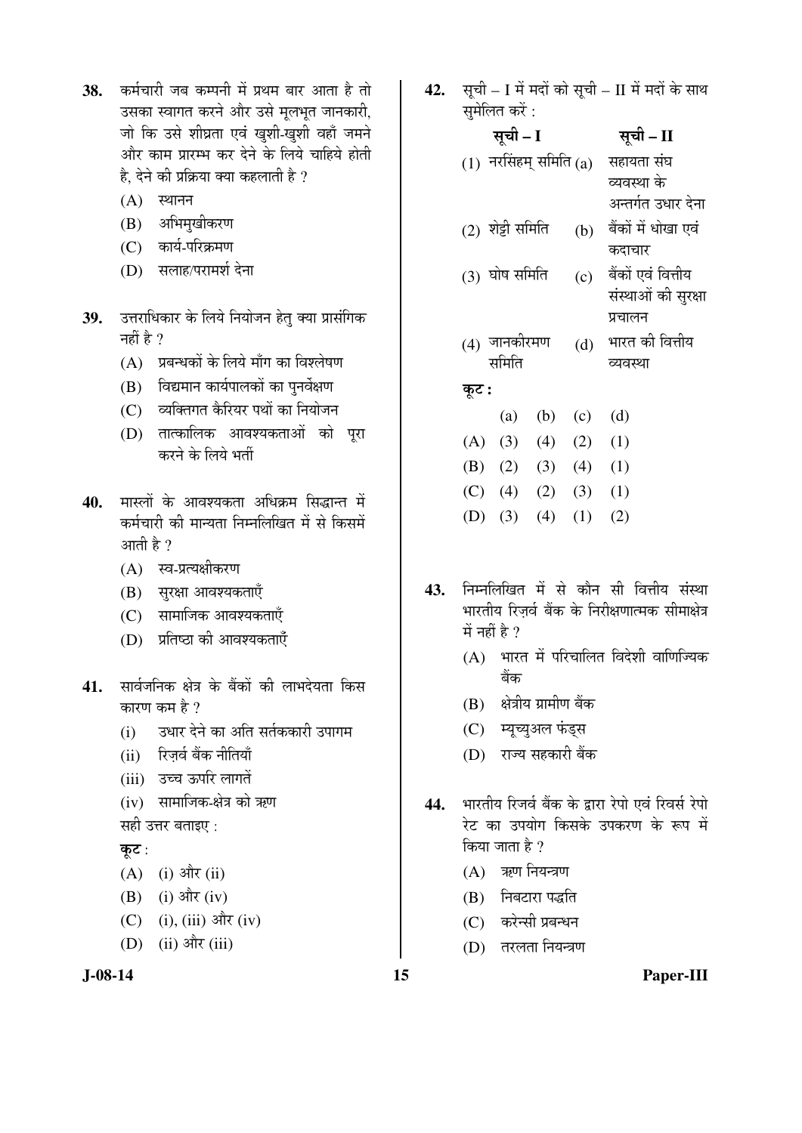- 38. कर्मचारी जब कम्पनी में प्रथम बार आता है तो उसका स्वागत करने और उसे मुलभृत जानकारी, जो कि उसे शीघ्रता एवं खुशी-खुशी वहाँ जमने ओर काम प्रारम्भ कर देने के लिये चाहिये होती है. देने की प्रक्रिया क्या कहलाती है ?
	- $(A)$  स्थानन
	- (B) अभिमुखीकरण
	- (C) कार्य-परिक्रमण
	- (D) सलाह/परामर्श देना
- 39. उत्तराधिकार के लिये नियोजन हेतु क्या प्रासंगिक नहीं है $\,$  ?
	- $(A)$  प्रबन्धकों के लिये माँग का विश्लेषण
	- $(B)$  विद्यमान कार्यपालकों का पुनर्वेक्षण
	- (C) व्यक्तिगत कैरियर पथों का नियोजन
	- (D) तात्कालिक आवश्यकताओं को पूरा करने के लिये भर्ती
- **40.** मास्लों के आवश्यकता अधिकम सिद्धान्त में कर्मचारी की मान्यता निम्नलिखित में से किसमें आती है $\,$  ?
	- $(A)$  स्व-प्रत्यक्षीकरण
	- $(B)$  सुरक्षा आवश्यकताएँ
	- (C) सामाजिक आवश्यकताएँ
	- $(D)$  प्रतिष्ठा की आवश्यकताएँ
- 41. सार्वजनिक क्षेत्र के बैंकों की लाभदेयता किस कारण कम है  $\overline{v}$ 
	- (i) उधार देने का अति सर्तककारी उपागम
	- (ii) रिज़र्व बैंक नीतियाँ
	- (iii) उच्च ऊपरि लागतें
	- (iv) सामाजिक-क्षेत्र को ऋण

सही उत्तर बताइए :

कुट $:$ 

- $(A)$  (i) और (ii)
- $(B)$  (i) और (iv)
- (C) (i), (iii) और (iv)
- $(D)$  (ii) और (iii)

**42.** सूची – I में मदों को सूची – II में मदों के साथ सुमेलित करें :

| सूची – I         |     | सूची – II                |
|------------------|-----|--------------------------|
|                  |     | सहायता संघ               |
|                  |     | व्यवस्था के              |
|                  |     | अन्तर्गत उधार देना       |
| (2) शेट्टी समिति | (b) | बैंकों में धोखा एवं      |
|                  |     | कदाचार                   |
| (3) घोष समिति    | (c) | बैंकों एवं वित्तीय       |
|                  |     | संस्थाओं की सुरक्षा      |
|                  |     | प्रचालन                  |
| (4) जानकीरमण     | (d) | भारत की वित्तीय          |
| समिति            |     | व्यवस्था                 |
|                  |     |                          |
| (b)<br>(a)       | (c) | (d)                      |
| (3)<br>(4)       | (2) | (1)                      |
| (2)<br>(3)       | (4) | (1)                      |
| (4)<br>(2)       | (3) | (1)                      |
|                  |     | $(1)$ नरसिंहम् समिति (a) |

- (D) (3) (4) (1) (2)
- 43. निम्नलिखित में से कौन सी वित्तीय संस्था भारतीय रिजर्व बैंक के निरीक्षणात्मक सीमाक्षेत्र  $\overrightarrow{H}$  नहीं है ?
	- $(A)$  भारत में परिचालित विदेशी वाणिज्यिक बैंक
	- $(B)$  क्षेत्रीय ग्रामीण बैंक
	- (C) म्यूच्युअल फंड्स
	- (D) राज्य सहकारी बैंक
- 44. भारतीय रिजर्व बैंक के द्वारा रेपो एवं रिवर्स रेपो रेट का उपयोग किसके उपकरण के रूप में किया जाता है ?
	- $(A)$  ऋण नियन्त्रण
	- (B) निबटारा पद्धति
	- $(C)$  करेन्सी प्रबन्धन
	- (D) तरलता नियन्त्रण

**J-08-14 15 Paper-III**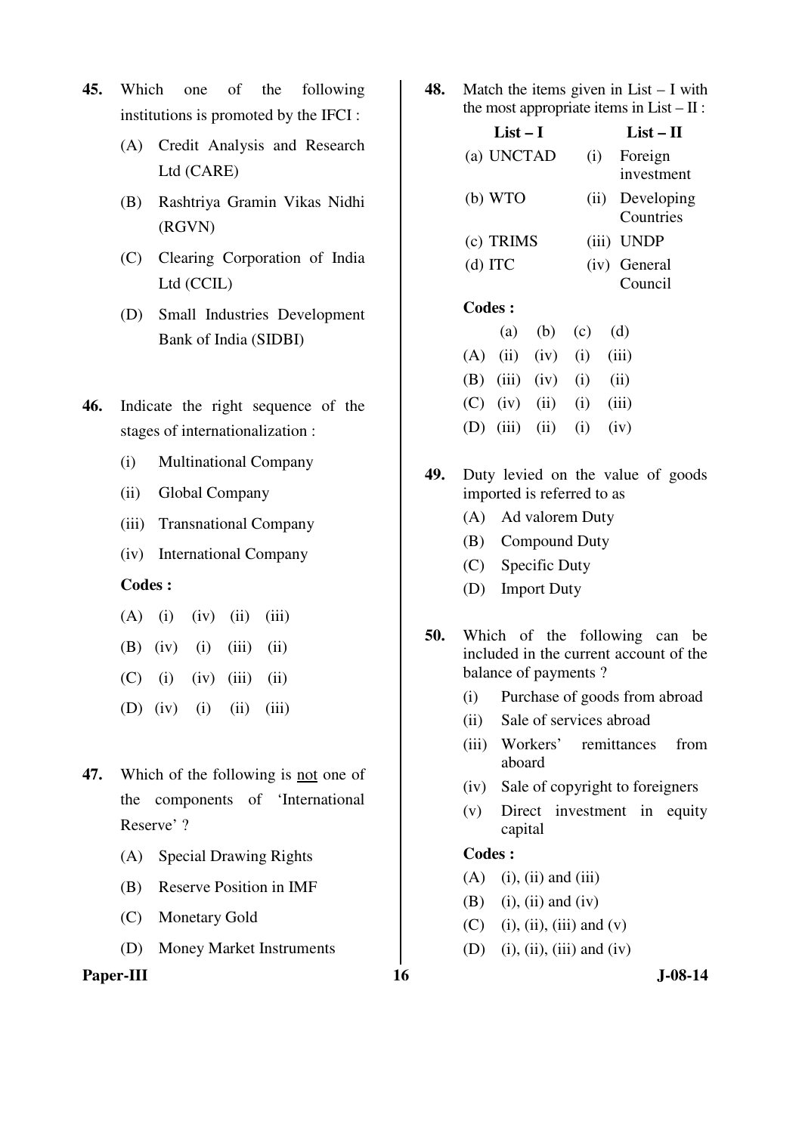- **45.** Which one of the following institutions is promoted by the IFCI :
	- (A) Credit Analysis and Research Ltd (CARE)
	- (B) Rashtriya Gramin Vikas Nidhi (RGVN)
	- (C) Clearing Corporation of India Ltd (CCIL)
	- (D) Small Industries Development Bank of India (SIDBI)
- **46.** Indicate the right sequence of the stages of internationalization :
	- (i) Multinational Company
	- (ii) Global Company
	- (iii) Transnational Company
	- (iv) International Company

#### **Codes :**

- $(A)$  (i) (iv) (ii) (iii)
- (B) (iv) (i) (iii) (ii)
- $(C)$  (i) (iv) (iii) (ii)
- (D) (iv) (i) (ii) (iii)
- **47.** Which of the following is not one of the components of 'International Reserve' ?
	- (A) Special Drawing Rights
	- (B) Reserve Position in IMF
	- (C) Monetary Gold
	- (D) Money Market Instruments

# Paper-III **16** J-08-14

**48.** Match the items given in List – I with the most appropriate items in  $List - II$ :

| List $-1$     |      | $List-II$               |
|---------------|------|-------------------------|
| (a) UNCTAD    | (i)  | Foreign<br>investment   |
| (b) WTO       | (ii) | Developing<br>Countries |
| (c) TRIMS     |      | (iii) UNDP              |
| $(d)$ ITC     |      | (iv) General<br>Council |
| <b>Codes:</b> |      |                         |

|  | (a) (b) (c) (d)                 |  |
|--|---------------------------------|--|
|  | $(A)$ (ii) (iv) (i) (iii)       |  |
|  | (B) $(iii)$ $(iv)$ $(i)$ $(ii)$ |  |
|  | (C) (iv) (ii) (i) (iii)         |  |
|  | (D) (iii) (ii) (i) (iv)         |  |

- **49.** Duty levied on the value of goods imported is referred to as
	- (A) Ad valorem Duty
	- (B) Compound Duty
	- (C) Specific Duty
	- (D) Import Duty
- **50.** Which of the following can be included in the current account of the balance of payments ?
	- (i) Purchase of goods from abroad
	- (ii) Sale of services abroad
	- (iii) Workers' remittances from aboard
	- (iv) Sale of copyright to foreigners
	- (v) Direct investment in equity capital

#### **Codes :**

- $(A)$  (i), (ii) and (iii)
- $(B)$  (i), (ii) and (iv)
- $(C)$  (i), (ii), (iii) and (v)
- (D) (i), (ii), (iii) and (iv)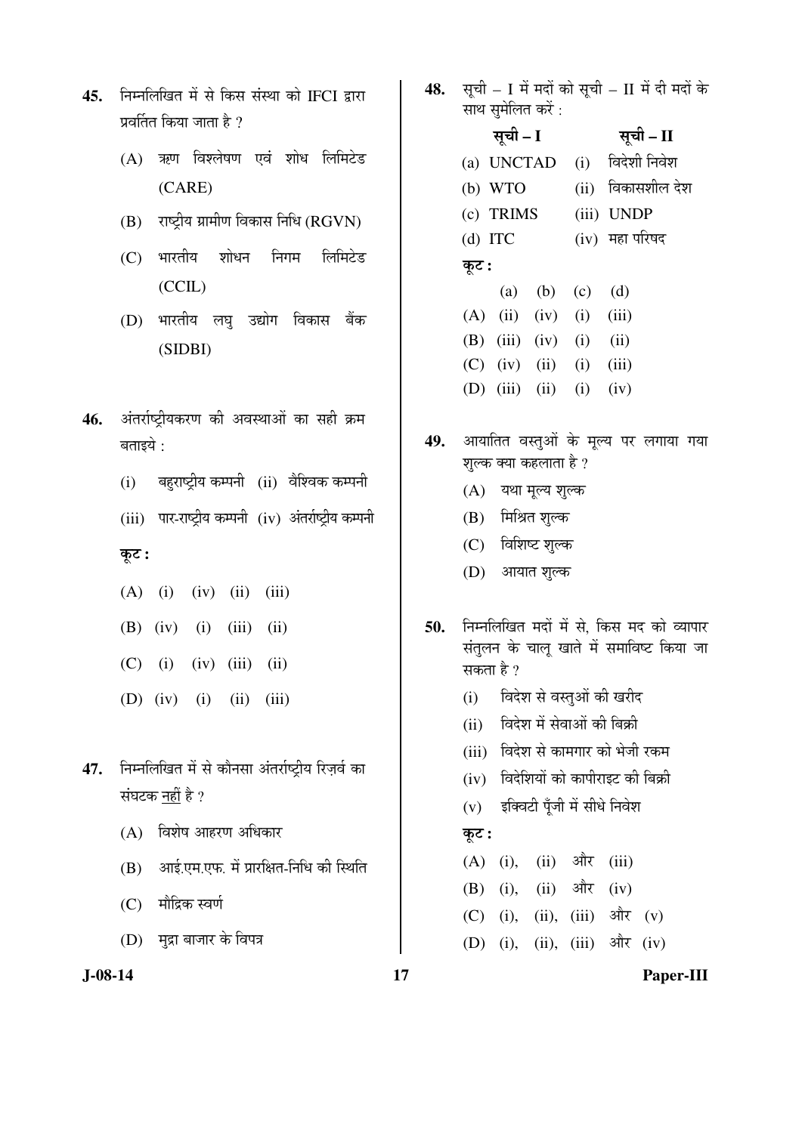- 45. निम्नलिखित में से किस संस्था को IFCI द्वारा प्रवर्तित किया जाता है  $\overline{v}$ 
	- $(A)$  ऋण विश्लेषण एवं शोध लिमिटेड (CARE)
	- $(B)$  राष्ट्रीय ग्रामीण विकास निधि ( $RGVN$ )
	- (C) भारतीय शोधन निगम लिमिटेड (CCIL)
	- (D) भारतीय लघ उद्योग विकास बैंक (SIDBI)
- 46. अंतर्राष्ट्रीयकरण की अवस्थाओं का सही क्रम बताइये :
	- $(i)$  बहराष्ट्रीय कम्पनी  $(ii)$  वेश्विक कम्पनी
	- (iii) पार-राष्ट्रीय कम्पनी (iv) अंतर्राष्ट्रीय कम्पनी
	- $\overline{\phi}$ :
	- (A) (i) (iv) (ii) (iii) (B) (iv) (i) (iii) (ii)  $(C)$  (i) (iv) (iii) (ii) (D) (iv) (i) (ii) (iii)
- 47. निम्नलिखित में से कौनसा अंतर्राष्ट्रीय रिज़र्व का संघटक नहीं है ?
	- $(A)$  विशेष आहरण अधिकार
	- $(B)$  ansigned in the set of the set of the only only  $(B)$
	- (C) मौद्रिक स्वर्ण
	- (D) मुद्रा बाजार के विपत्र

**J-08-14 17 Paper-III**

- 48. सची I में मदों को सची II में दी मदों के साथ समेलित करें :
- सूची I <del>सू</del>ची II (a) UNCTAD (i) विदेशी निवेश (b) WTO (ii) विकासशील देश (c) TRIMS (iii) UNDP  $(d)$  ITC  $(iv)$  महा परिषद  $\overline{\phi}$ : (a) (b) (c) (d)  $(A)$  (ii) (iv) (i) (iii) (B) (iii) (iv) (i) (ii)  $(C)$  (iv) (ii) (i) (iii) (D) (iii) (ii) (i) (iv)
- 49. आयातित वस्तुओं के मूल्य पर लगाया गया शुल्क क्या कहलाता है ?
	- (A) यथा मूल्य शुल्क
	- (B) मिश्रित शुल्क
	- (C) विशिष्ट शुल्क
	- (D) आयात शुल्क
- 50. निम्नलिखित मदों में से. किस मद को व्यापार संतुलन के चालू खाते में समाविष्ट किया जा सकता है  $\gamma$ 
	- (i) विदेश से वस्तुओं की खरीद
	- (ii) विदेश में सेवाओं की बिक्री
	- (iii) विदेश से कामगार को भेजी रकम
	- $(iv)$  विदेशियों को कापीराइट की बिक्री
	- $(v)$  इक्विटी पँजी में सीधे निवेश

#### कूट :

 $(A)$  (i), (ii) और (iii)  $(B)$  (i), (ii) और (iv) (C) (i), (ii), (iii) और  $(v)$  $(D)$  (i), (ii), (iii)  $\partial \mathcal{R}$  (iv)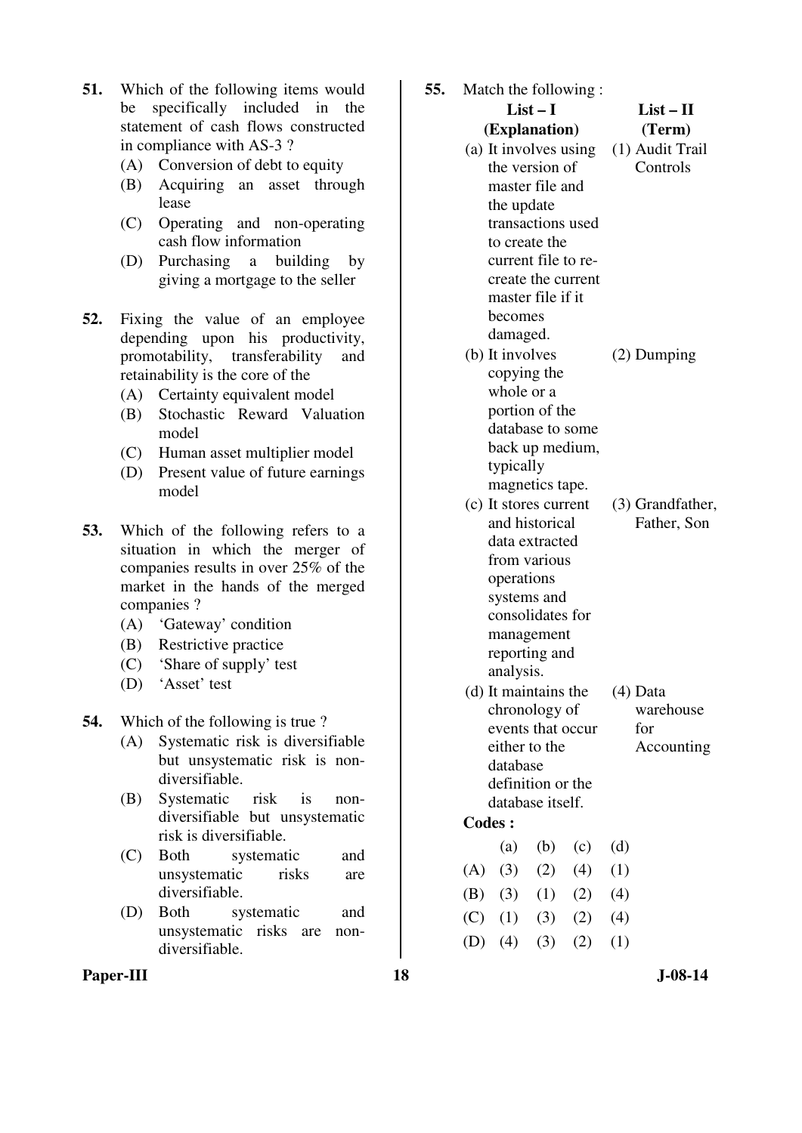- **51.** Which of the following items would be specifically included in the statement of cash flows constructed in compliance with AS-3 ?
	- (A) Conversion of debt to equity
	- (B) Acquiring an asset through lease
	- (C) Operating and non-operating cash flow information
	- (D) Purchasing a building by giving a mortgage to the seller
- **52.** Fixing the value of an employee depending upon his productivity, promotability, transferability and retainability is the core of the
	- (A) Certainty equivalent model
	- (B) Stochastic Reward Valuation model
	- (C) Human asset multiplier model
	- (D) Present value of future earnings model
- **53.** Which of the following refers to a situation in which the merger of companies results in over 25% of the market in the hands of the merged companies ?
	- (A) 'Gateway' condition
	- (B) Restrictive practice
	- (C) 'Share of supply' test
	- (D) 'Asset' test

**54.** Which of the following is true ?

- (A) Systematic risk is diversifiable but unsystematic risk is nondiversifiable.
- (B) Systematic risk is nondiversifiable but unsystematic risk is diversifiable.
- (C) Both systematic and unsystematic risks are diversifiable.
- (D) Both systematic and unsystematic risks are nondiversifiable.

**List – I (Explanation) List – II (Term)**  (a) It involves using (1) Audit Trail the version of master file and the update transactions used to create the current file to recreate the current master file if it becomes damaged. **Controls** (b) It involves copying the whole or a portion of the database to some back up medium, typically magnetics tape. (2) Dumping (c) It stores current and historical data extracted from various operations systems and consolidates for management reporting and analysis. (3) Grandfather, Father, Son

**55.** Match the following :

- (d) It maintains the chronology of events that occur either to the database definition or the database itself. (4) Data
	- warehouse for Accounting

**Codes :** 

(a) (b) (c) (d)  $(A) (3) (2) (4) (1)$  (B) (3) (1) (2) (4)  $(C)$   $(1)$   $(3)$   $(2)$   $(4)$ (D)  $(4)$   $(3)$   $(2)$   $(1)$ 

Paper-III **18** J-08-14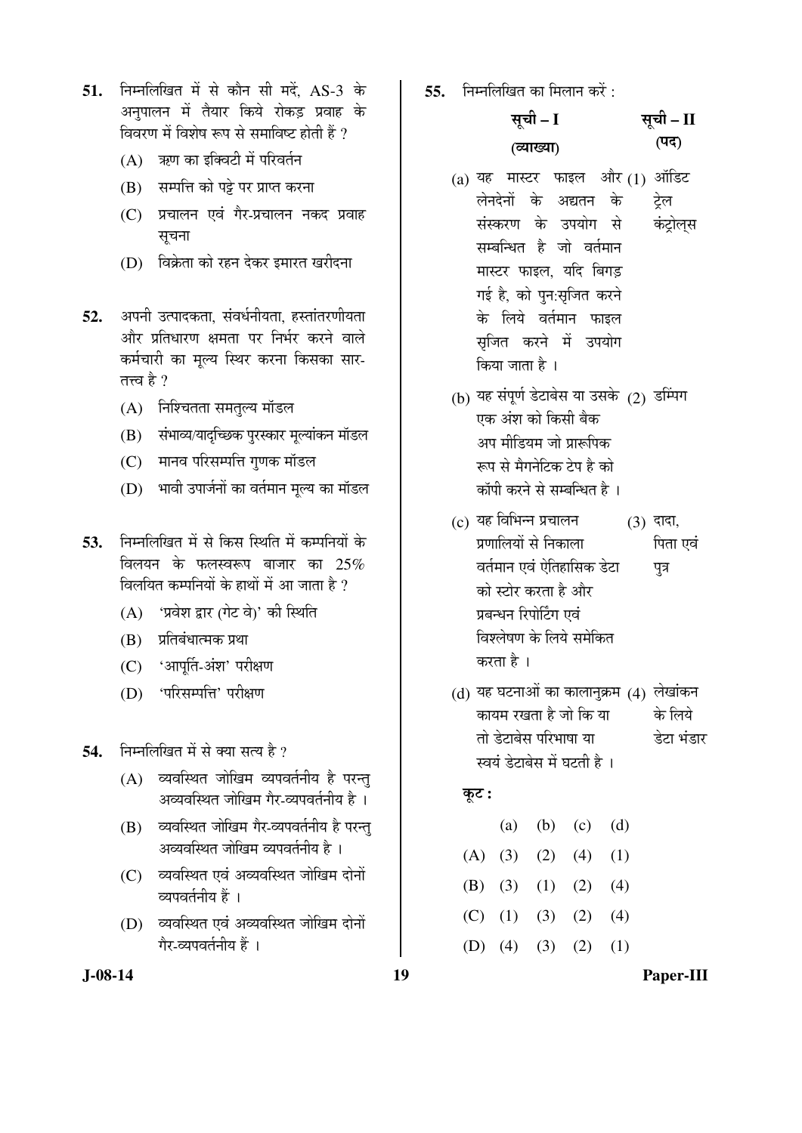- 51. ਜਿਸਗਿੰखित में से कौन सी मदें. AS-3 के अनपालन में तैयार किये रोकड प्रवाह के विवरण में विशेष रूप से समाविष्ट होती हैं ?
	- (A) ऋण का इक्विटी में परिवर्तन
	- $(B)$  सम्पत्ति को पट्टे पर प्राप्त करना
	- $(C)$  प्रचालन एवं गैर-प्रचालन नकद प्रवाह सचना
	- (D) विक्रेता को रहन देकर इमारत खरीदना
- **52.** अपनी उत्पादकता, संवर्धनीयता, हस्तांतरणीयता ओर प्रतिधारण क्षमता पर निर्भर करने वाले कर्मचारी का मूल्य स्थिर करना किसका सार-तत्त्व है ?
	- (A) निश्चितता समतुल्य मॉडल
	- (B) संभाव्य/यादच्छिक पुरस्कार मूल्यांकन मॉडल
	- (C) मानव परिसम्पत्ति गुणक मॉडल
	- (D) भावी उपार्जनों का वर्तमान मूल्य का मॉडल
- 53. ਜਿਸ लिखित में से किस स्थिति में कम्पनियों के विलयन के फलस्वरूप बाजार का 25% विलयित कम्पनियों के हाथों में आ जाता है  $\eta$ 
	- (A) 'प्रवेश द्वार (गेट वे)' की स्थिति
	- $(B)$  प्रतिबंधात्मक प्रथा
	- (C) 'आपूर्ति-अंश' परीक्षण
	- (D) 'परिसम्पत्ति' परीक्षण

54. FED FED FRIEGG AT THE THE THE <sup>2</sup>

- (A) व्यवस्थित जोखिम व्यपवर्तनीय है परन्त् अव्यवस्थित जोखिम गैर-व्यपवर्तनीय है ।
- (B) व्यवस्थित जोखिम गैर-व्यपवर्तनीय है परन्तु अव्यवस्थित जोखिम व्यपवर्तनीय है ।
- (C) व्यवस्थित एवं अव्यवस्थित जोखिम दोनों व्यपवर्तनीय हैं ।
- (D) व्यवस्थित एवं अव्यवस्थित जोखिम दोनों गेर-व्यपवर्तनीय हैं ।

 $55.$   $\overline{B}$  निम्नलिखित का मिलान करें :

#### सूची – I (व्याख्या) सूची – II  $(T\overline{q})$

- (a) यह मास्टर फाइल और(1) ऑडिट लेनदेनों के अद्यतन के संस्करण के उपयोग से सम्बन्धित है जो वर्तमान मास्टर फाइल, यदि बिगड़ गई है, को पुन:सृजित करने के लिये वर्तमान फाइल सृजित करने में उपयोग किया जाता है । टेल कंटोलस
- (b) यह संपूर्ण डेटाबेस या उसके (2) डम्पिंग एक अंश को किसी बैक अप मीडियम जो प्रारूपिक रूप से मैगनेटिक टेप है को कॉपी करने से सम्बन्धित है ।
- $(c)$  यह विभिन्न प्रचालन प्रणालियों से निकाला वर्तमान एवं ऐतिहासिक डेट<mark>ा</mark> को स्टोर करता है और प्रबन्धन रिपोर्टिंग एवं <u>विश्लेषण के लिये समेकित</u> करता है ।  $(3)$  दादा, पिता एवं पत्र
- (d) यह घटनाओं का कालानुक्रम (4) लेखांकन कायम रखता है जो कि या तो डेटाबेस परिभाषा या स्वयं डेटाबेस में घटती है । के लिये डेटा भंडार

## कूट :

|  |  | (a) (b) (c) (d)       |  |
|--|--|-----------------------|--|
|  |  | (A) (3) (2) (4) (1)   |  |
|  |  | (B) (3) (1) (2) (4)   |  |
|  |  | $(C)$ (1) (3) (2) (4) |  |
|  |  |                       |  |

(D)  $(4)$   $(3)$   $(2)$   $(1)$ 

**J-08-14 19 Paper-III**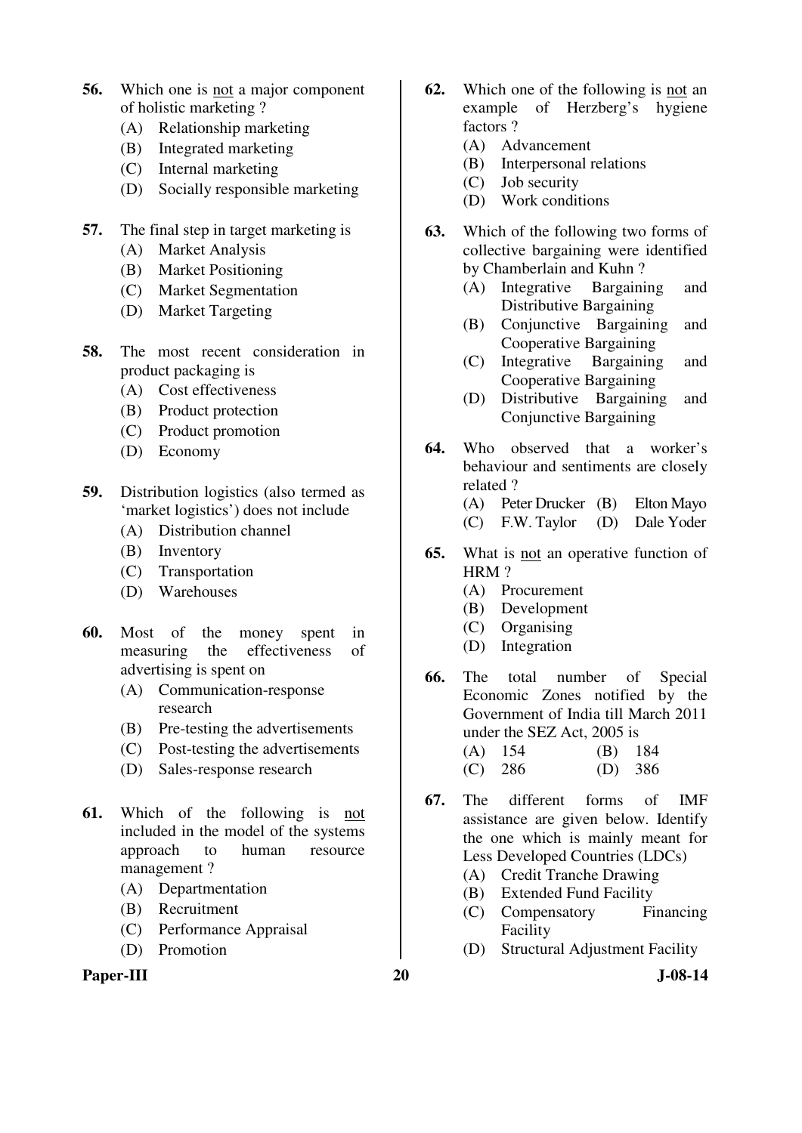- **56.** Which one is not a major component of holistic marketing ?
	- (A) Relationship marketing
	- (B) Integrated marketing
	- (C) Internal marketing
	- (D) Socially responsible marketing
- **57.** The final step in target marketing is
	- (A) Market Analysis
	- (B) Market Positioning
	- (C) Market Segmentation
	- (D) Market Targeting
- **58.** The most recent consideration in product packaging is
	- (A) Cost effectiveness
	- (B) Product protection
	- (C) Product promotion
	- (D) Economy
- **59.** Distribution logistics (also termed as 'market logistics') does not include
	- (A) Distribution channel
	- (B) Inventory
	- (C) Transportation
	- (D) Warehouses
- **60.** Most of the money spent in measuring the effectiveness of advertising is spent on
	- (A) Communication-response research
	- (B) Pre-testing the advertisements
	- (C) Post-testing the advertisements
	- (D) Sales-response research
- **61.** Which of the following is not included in the model of the systems approach to human resource management ?
	- (A) Departmentation
	- (B) Recruitment
	- (C) Performance Appraisal
	- (D) Promotion

# Paper-III 20 J-08-14

- **62.** Which one of the following is not an example of Herzberg's hygiene factors ?
	- (A) Advancement
	- (B) Interpersonal relations
	- (C) Job security
	- (D) Work conditions
- **63.** Which of the following two forms of collective bargaining were identified by Chamberlain and Kuhn ?
	- (A) Integrative Bargaining and Distributive Bargaining
	- (B) Conjunctive Bargaining and Cooperative Bargaining<br>Integrative Bargaining
	- (C) Integrative Bargaining and Cooperative Bargaining
	- (D) Distributive Bargaining and Conjunctive Bargaining
- **64.** Who observed that a worker's behaviour and sentiments are closely related ?
	- (A) Peter Drucker (B) Elton Mayo
	- (C) F.W. Taylor (D) Dale Yoder
- **65.** What is not an operative function of HRM?
	- (A) Procurement
	- (B) Development
	- (C) Organising
	- (D) Integration
- **66.** The total number of Special Economic Zones notified by the Government of India till March 2011 under the SEZ Act, 2005 is
	- (A) 154 (B) 184 (C) 286 (D) 386
- **67.** The different forms of IMF assistance are given below. Identify the one which is mainly meant for Less Developed Countries (LDCs)
	- (A) Credit Tranche Drawing
	- (B) Extended Fund Facility
	- (C) Compensatory Financing Facility
	- (D) Structural Adjustment Facility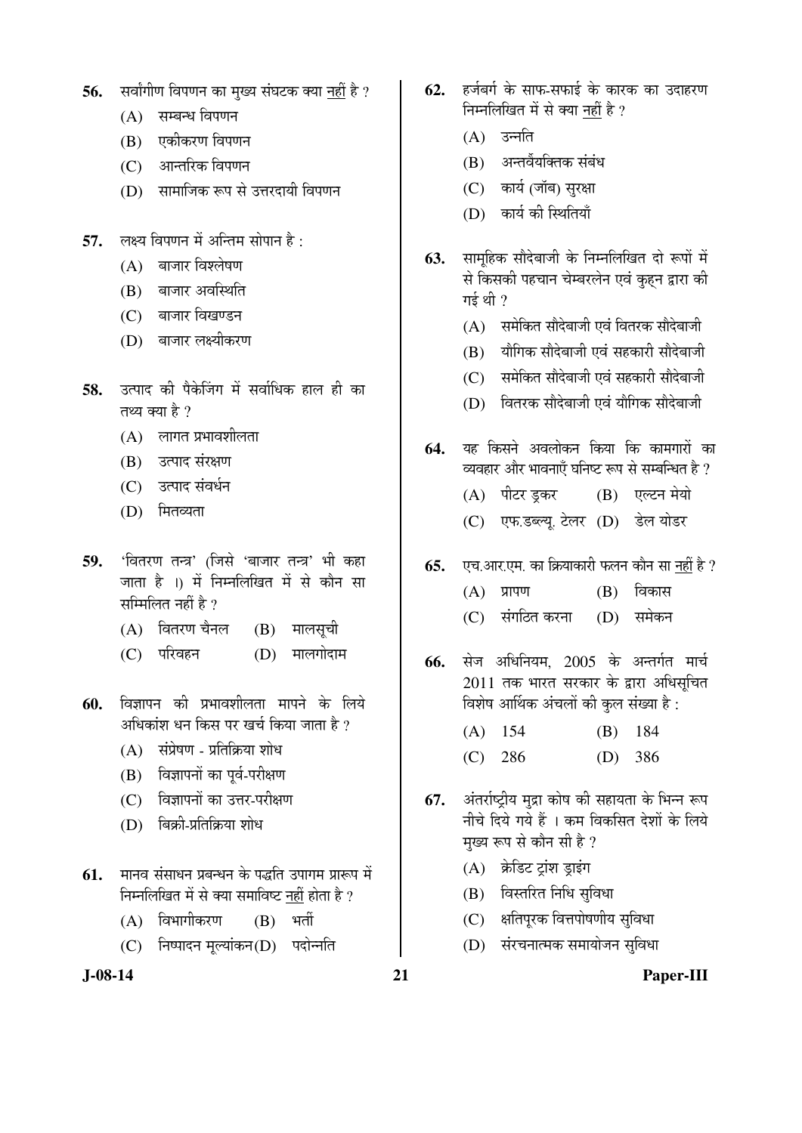- 56. सर्वांगीण विपणन का मुख्य संघटक क्या नहीं है ?
	- $(A)$  सम्बन्ध विपणन
	- (B) एकीकरण विपणन
	- (C) आन्तरिक विपणन
	- (D) सामाजिक रूप से उत्तरदायी विपणन
- **57.** लक्ष्य विपणन में अन्तिम सोपान है:
	- $(A)$  बाजार विश्लेषण
	- $(B)$  बाजार अवस्थिति
	- (C) बाजार विखण्डन
	- (D) बाजार लक्ष्यीकरण
- 58. उत्पाद की पैकेजिंग में सर्वाधिक हाल ही का तथ्य क्या है ?
	- $(A)$  लागत प्रभावशीलता
	- (B) उत्पाद संरक्षण
	- (C) उत्पाद संवर्धन
	- $(D)$  मितव्यता
- 59. 'वितरण तन्त्र' (जिसे 'बाजार तन्त्र' भी कहा जाता है ।) में निम्नलिखित में से कौन सा सम्मिलित नहीं है  $\overline{v}$ 
	- $(A)$  वितरण चैनल  $(B)$  मालसूची
	- (C) परिवहन (D) मालगोदाम
- **60.** विज्ञापन की प्रभावशीलता मापने के लिये अधिकांश धन किस पर खर्च किया जाता है  $\imath$ 
	- $(A)$  संप्रेषण प्रतिक्रिया शोध
	- (B) विज्ञापनों का पूर्व-परीक्षण
	- (C) विज्ञापनों का उत्तर-परीक्षण
	- $(D)$  बिक्री-प्रतिक्रिया शोध
- 61. THE READER AS THE ON THE ONLY THE THE THE STAT OF THE STAT OF THE OF THE STAT OF THE STAT OF THE STAT OF TH निम्नलिखित में से क्या समाविष्ट नहीं होता है ?
	- (A) विभागीकरण (B) भर्ती
	- (C) निष्पादन मूल्यांकन(D) पदोन्नति
- **J-08-14 21 Paper-III**
- 62. हर्जबर्ग के साफ-सफाई के कारक का उदाहरण निम्नलिखित में से क्या नहीं है ?
	- $(A)$  उन्नति
	- $(B)$  अन्तर्वैयक्तिक संबंध
	- (C) कार्य (जॉब) सुरक्षा
	- (D) कार्य की स्थितियाँ
- **63.** सामुहिक सौदेबाजी के निम्नलिखित दो रूपों में से किसकी पहचान चेम्बरलेन एवं कुहन द्वारा की गई थी $\,$  ?
	- $(A)$  समेकित सौदेबाजी एवं वितरक सौदेबाजी
	- $(B)$  यौगिक सौदेबाजी एवं सहकारी सौदेबाजी
	- $(C)$  समेकित सौदेबाजी एवं सहकारी सौदेबाजी
	- (D) वितरक सौदेबाजी एवं यौगिक सौदेबाजी
- 64. यह किसने अवलोकन किया कि कामगारों का व्यवहार और भावनाएँ घनिष्ट रूप से सम्बन्धित है ?
	- (A) पीटर ड़कर (B) एल्टन मेयो
	- (C) एफ.डब्ल्यू. टेलर (D) डेल योडर
- **65.** एच.आर.एम. का क्रियाकारी फलन कौन सा नहीं है ?
	- $(A)$  प्रापण  $(B)$  विकास
	- (C) संगठित करना (D) समेकन
- **66.** सेज अधिनियम. 2005 के अन्तर्गत मार्च 2011 तक भारत सरकार के द्वारा अधिसूचित विशेष आर्थिक अंचलों की कुल संख्या है:
	- (A) 154 (B) 184 (C) 286 (D) 386
- **67.** ॲंतर्राष्ट्रीय मुद्रा कोष की सहायता के भिन्न रूप ्<br>नीचे दिये गये हैं । कम विकसित देशों के लिये मुख्य रूप से कौन सी है ?
	- (A) क्रेडिट ट्रांश ड्राइंग
	- (B) विस्तरित निधि सविधा
	- $(C)$  क्षतिपुरक वित्तपोषणीय सुविधा
	- (D) संरचनात्मक समायोजन सुविधा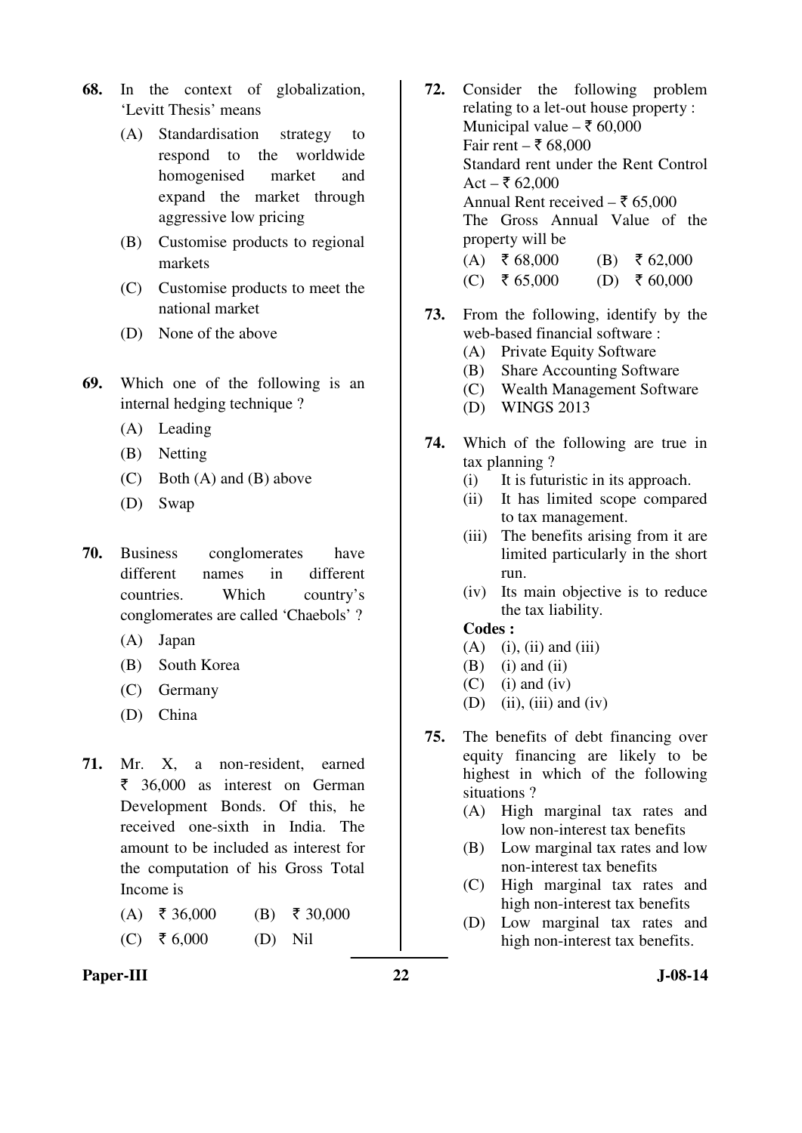- **68.** In the context of globalization, 'Levitt Thesis' means
	- (A) Standardisation strategy to respond to the worldwide homogenised market and expand the market through aggressive low pricing
	- (B) Customise products to regional markets
	- (C) Customise products to meet the national market
	- (D) None of the above
- **69.** Which one of the following is an internal hedging technique ?
	- (A) Leading
	- (B) Netting
	- (C) Both (A) and (B) above
	- (D) Swap
- **70.** Business conglomerates have different names in different countries. Which country's conglomerates are called 'Chaebols' ?
	- (A) Japan
	- (B) South Korea
	- (C) Germany
	- (D) China
- **71.** Mr. X, a non-resident, earned  $\bar{\epsilon}$  36,000 as interest on German Development Bonds. Of this, he received one-sixth in India. The amount to be included as interest for the computation of his Gross Total Income is
	- $(A)$  ₹ 36,000 (B) ₹ 30,000
	- $(C) \quad \overline{\xi}$  6,000 (D) Nil
- **72.** Consider the following problem relating to a let-out house property : Municipal value –  $\bar{\tau}$  60,000 Fair rent –  $\bar{x}$  68,000 Standard rent under the Rent Control Act –  $\bar{x}$  62,000 Annual Rent received  $-\xi$  65,000 The Gross Annual Value of the property will be  $(A)$  ₹ 68,000 (B) ₹ 62,000  $(C) \quad \frac{1}{5} 65,000$  (D)  $\frac{1}{5} 60,000$
- **73.** From the following, identify by the web-based financial software :
	- (A) Private Equity Software
	- (B) Share Accounting Software
	- (C) Wealth Management Software
	- (D) WINGS 2013
- **74.** Which of the following are true in tax planning ?
	- (i) It is futuristic in its approach.
	- (ii) It has limited scope compared to tax management.
	- (iii) The benefits arising from it are limited particularly in the short run.
	- (iv) Its main objective is to reduce the tax liability.

#### **Codes :**

- $(A)$  (i), (ii) and (iii)
- $(B)$  (i) and (ii)
- $(C)$  (i) and (iv)
- (D) (ii), (iii) and (iv)
- **75.** The benefits of debt financing over equity financing are likely to be highest in which of the following situations ?
	- (A) High marginal tax rates and low non-interest tax benefits
	- (B) Low marginal tax rates and low non-interest tax benefits
	- (C) High marginal tax rates and high non-interest tax benefits
	- (D) Low marginal tax rates and high non-interest tax benefits.
- Paper-III 22 J-08-14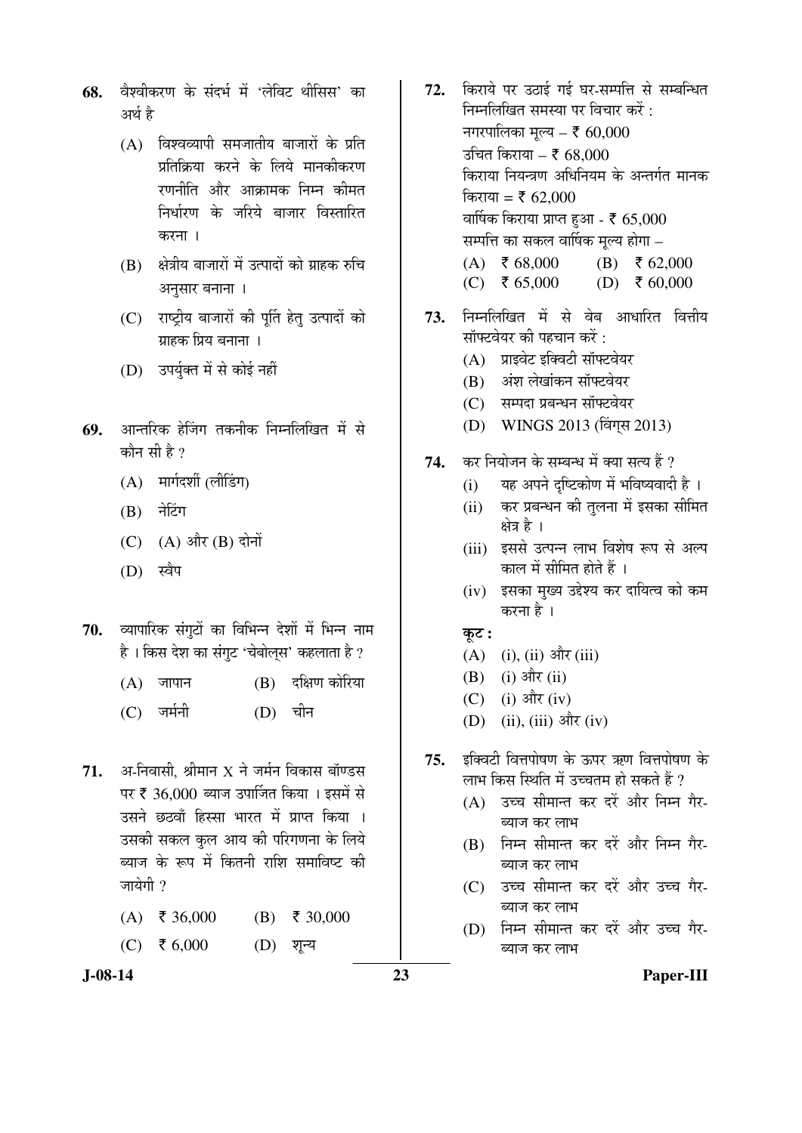- 68. वैश्वीकरण के संदर्भ में 'लेविट थीसिस' का अर्थ है
	- $(A)$  विश्वव्यापी समजातीय बाजारों के प्रति प्रतिक्रिया करने के लिये मानकीकरण रणनीति और आक्रामक निम्न कीमत निर्धारण के जरिये बाजार विस्तारित करना ।
	- $(B)$  क्षेत्रीय बाजारों में उत्पादों को ग्राहक रुचि अनसार बनाना ।
	- (C) राष्ट्रीय बाजारों की पूर्ति हेतु उत्पादों को ग्राहक प्रिय बनाना ।
	- (D) उपर्युक्त में से कोई नहीं
- **69.** आन्तरिक हेजिंग तकनीक निम्नलिखित में से कौन सी है ?
	- $(A)$  मार्गदर्शी (लीडिंग)
	- (B) नेटिंग
	- $(C)$   $(A)$  और  $(B)$  दोनों
	- (D) स्वैप
- 70. व्यापारिक संगुटों का विभिन्न देशों में भिन्न नाम है। किस देश का संगुट 'चेबोल्स' कहलाता है ?
	- $(A)$  जापान  $(B)$  दक्षिण कोरिया
	- (C) जर्मनी (D) चीन
- **71.** अ-निवासी. श्रीमान X ने जर्मन विकास बॉण्डस पर ₹ 36,000 ब्याज उपार्जित किया । इसमें से उसने छठवाँ हिस्सा भारत में प्राप्त किया । उसकी सकल कुल आय की परिगणना के लिये ब्याज के रूप में कितनी राशि समाविष्ट की जायेगी  $\overline{\mathcal{P}}$ 
	- $(A)$  ₹ 36,000 (B) ₹ 30,000
	- $(C) \quad \xi \, 6,000$  (D) शून्य
- 72. किराये पर उठाई गई घर-सम्पत्ति से सम्बन्धित निम्नलिखित समस्या पर विचार करें : नगरपालिका मुल्य – ₹ 60,000 उचित किराया – ₹ 68,000 किराया नियन्त्रण अधिनियम के अन्तर्गत मानक किराया = ₹ 62,000 वार्षिक किराया प्राप्त हुआ -  $\bar{\tau}$  65,000 सम्पत्ति का सकल वार्षिक मूल्य होगा –  $(A) \quad \overline{5} \quad 68,000$  (B)  $\overline{5} \quad 62,000$ (C) ₹ 65,000 (D) ₹ 60,000
- 73. निम्नलिखित में से वेब आधारित वित्तीय सॉफ्टवेयर की पहचान करें $\cdot$ 
	- (A) प्राइवेट इक्विटी सॉफ्टवेयर
	- (B) अंश लेखांकन सॉफ्टवेयर
	- (C) सम्पदा प्रबन्धन सॉफ्टवेयर
	- (D) WINGS 2013 (विंगस 2013)
- 74. कर नियोजन के सम्बन्ध में क्या सत्य हैं ?
	- $(i)$  यह अपने दृष्टिकोण में भविष्यवादी है।
	- (ii) कर प्रबन्धन की तुलना में इसका सीमित क्षेत्र है ।
	- (iii) इससे उत्पन्न लाभ विशेष रूप से अल्प काल में सीमित होते हैं ।
	- (iv) इसका मुख्य उद्देश्य कर दायित्व को कम करना है ।
	- कुट :
	- $(A)$  (i), (ii) और (iii)
	- $(B)$  (i) और (ii)
	- (C) (i) और (iv)
	- (D) (ii), (iii) और (iv)
- 75. इक्विटी वित्तपोषण के ऊपर ऋण वित्तपोषण के लाभ किस स्थिति में उच्चतम हो सकते हैं ?
	- (A) उच्च सीमान्त कर दरें और निम्न गैर-ब्याज कर लाभ
	- (B) निम्न सीमान्त कर दरें और निम्न गैर-ब्याज कर लाभ
	- (C) उच्च सीमान्त कर दरें और उच्च गैर-ब्याज कर लाभ
	- (D) निम्न सीमान्त कर दरें और उच्च गैर-ब्याज कर लाभ

**J-08-14 23 Paper-III**